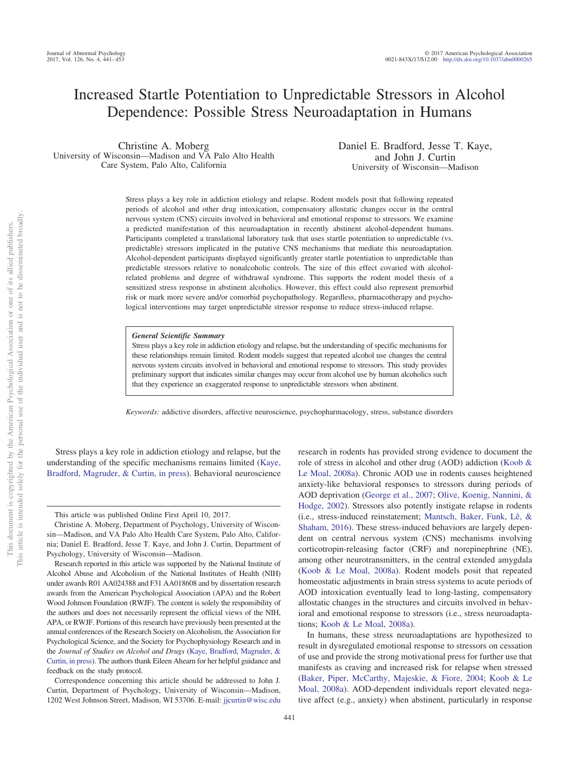# Increased Startle Potentiation to Unpredictable Stressors in Alcohol Dependence: Possible Stress Neuroadaptation in Humans

Christine A. Moberg University of Wisconsin—Madison and VA Palo Alto Health Care System, Palo Alto, California

Daniel E. Bradford, Jesse T. Kaye, and John J. Curtin University of Wisconsin—Madison

Stress plays a key role in addiction etiology and relapse. Rodent models posit that following repeated periods of alcohol and other drug intoxication, compensatory allostatic changes occur in the central nervous system (CNS) circuits involved in behavioral and emotional response to stressors. We examine a predicted manifestation of this neuroadaptation in recently abstinent alcohol-dependent humans. Participants completed a translational laboratory task that uses startle potentiation to unpredictable (vs. predictable) stressors implicated in the putative CNS mechanisms that mediate this neuroadaptation. Alcohol-dependent participants displayed significantly greater startle potentiation to unpredictable than predictable stressors relative to nonalcoholic controls. The size of this effect covaried with alcoholrelated problems and degree of withdrawal syndrome. This supports the rodent model thesis of a sensitized stress response in abstinent alcoholics. However, this effect could also represent premorbid risk or mark more severe and/or comorbid psychopathology. Regardless, pharmacotherapy and psychological interventions may target unpredictable stressor response to reduce stress-induced relapse.

#### *General Scientific Summary*

Stress plays a key role in addiction etiology and relapse, but the understanding of specific mechanisms for these relationships remain limited. Rodent models suggest that repeated alcohol use changes the central nervous system circuits involved in behavioral and emotional response to stressors. This study provides preliminary support that indicates similar changes may occur from alcohol use by human alcoholics such that they experience an exaggerated response to unpredictable stressors when abstinent.

*Keywords:* addictive disorders, affective neuroscience, psychopharmacology, stress, substance disorders

Stress plays a key role in addiction etiology and relapse, but the understanding of the specific mechanisms remains limited [\(Kaye,](#page-10-0) [Bradford, Magruder, & Curtin, in press\)](#page-10-0). Behavioral neuroscience

research in rodents has provided strong evidence to document the role of stress in alcohol and other drug (AOD) addiction [\(Koob &](#page-10-1) [Le Moal, 2008a\)](#page-10-1). Chronic AOD use in rodents causes heightened anxiety-like behavioral responses to stressors during periods of AOD deprivation [\(George et al., 2007;](#page-10-2) [Olive, Koenig, Nannini, &](#page-11-0) [Hodge, 2002\)](#page-11-0). Stressors also potently instigate relapse in rodents (i.e., stress-induced reinstatement; [Mantsch, Baker, Funk, Lê, &](#page-11-1) [Shaham, 2016\)](#page-11-1). These stress-induced behaviors are largely dependent on central nervous system (CNS) mechanisms involving corticotropin-releasing factor (CRF) and norepinephrine (NE), among other neurotransmitters, in the central extended amygdala [\(Koob & Le Moal, 2008a\)](#page-10-1). Rodent models posit that repeated homeostatic adjustments in brain stress systems to acute periods of AOD intoxication eventually lead to long-lasting, compensatory allostatic changes in the structures and circuits involved in behavioral and emotional response to stressors (i.e., stress neuroadaptations; [Koob & Le Moal, 2008a\)](#page-10-1).

In humans, these stress neuroadaptations are hypothesized to result in dysregulated emotional response to stressors on cessation of use and provide the strong motivational press for further use that manifests as craving and increased risk for relapse when stressed [\(Baker, Piper, McCarthy, Majeskie, & Fiore, 2004;](#page-9-0) [Koob & Le](#page-10-1) [Moal, 2008a\)](#page-10-1). AOD-dependent individuals report elevated negative affect (e.g., anxiety) when abstinent, particularly in response

This article was published Online First April 10, 2017.

Christine A. Moberg, Department of Psychology, University of Wisconsin—Madison, and VA Palo Alto Health Care System, Palo Alto, California; Daniel E. Bradford, Jesse T. Kaye, and John J. Curtin, Department of Psychology, University of Wisconsin—Madison.

Research reported in this article was supported by the National Institute of Alcohol Abuse and Alcoholism of the National Institutes of Health (NIH) under awards R01 AA024388 and F31 AA018608 and by dissertation research awards from the American Psychological Association (APA) and the Robert Wood Johnson Foundation (RWJF). The content is solely the responsibility of the authors and does not necessarily represent the official views of the NIH, APA, or RWJF. Portions of this research have previously been presented at the annual conferences of the Research Society on Alcoholism, the Association for Psychological Science, and the Society for Psychophysiology Research and in the *Journal of Studies on Alcohol and Drugs* [\(Kaye, Bradford, Magruder, &](#page-10-0) [Curtin, in press\)](#page-10-0). The authors thank Eileen Ahearn for her helpful guidance and feedback on the study protocol.

Correspondence concerning this article should be addressed to John J. Curtin, Department of Psychology, University of Wisconsin—Madison, 1202 West Johnson Street, Madison, WI 53706. E-mail: [jjcurtin@wisc.edu](mailto:jjcurtin@wisc.edu)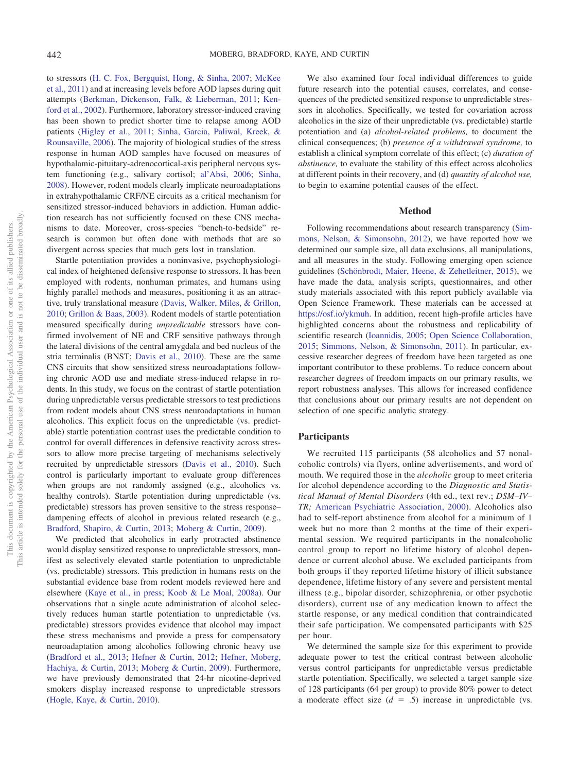to stressors [\(H. C. Fox, Bergquist, Hong, & Sinha, 2007;](#page-10-3) [McKee](#page-11-2) [et al., 2011\)](#page-11-2) and at increasing levels before AOD lapses during quit attempts [\(Berkman, Dickenson, Falk, & Lieberman, 2011;](#page-9-1) [Ken](#page-10-4)[ford et al., 2002\)](#page-10-4). Furthermore, laboratory stressor-induced craving has been shown to predict shorter time to relapse among AOD patients [\(Higley et al., 2011;](#page-10-5) [Sinha, Garcia, Paliwal, Kreek, &](#page-11-3) [Rounsaville, 2006\)](#page-11-3). The majority of biological studies of the stress response in human AOD samples have focused on measures of hypothalamic-pituitary-adrenocortical-axis peripheral nervous system functioning (e.g., salivary cortisol; [al'Absi, 2006;](#page-9-2) [Sinha,](#page-11-4) [2008\)](#page-11-4). However, rodent models clearly implicate neuroadaptations in extrahypothalamic CRF/NE circuits as a critical mechanism for sensitized stressor-induced behaviors in addiction. Human addiction research has not sufficiently focused on these CNS mechanisms to date. Moreover, cross-species "bench-to-bedside" research is common but often done with methods that are so divergent across species that much gets lost in translation.

Startle potentiation provides a noninvasive, psychophysiological index of heightened defensive response to stressors. It has been employed with rodents, nonhuman primates, and humans using highly parallel methods and measures, positioning it as an attractive, truly translational measure [\(Davis, Walker, Miles, & Grillon,](#page-10-6) [2010;](#page-10-6) [Grillon & Baas, 2003\)](#page-10-7). Rodent models of startle potentiation measured specifically during *unpredictable* stressors have confirmed involvement of NE and CRF sensitive pathways through the lateral divisions of the central amygdala and bed nucleus of the stria terminalis (BNST; [Davis et al., 2010\)](#page-10-6). These are the same CNS circuits that show sensitized stress neuroadaptations following chronic AOD use and mediate stress-induced relapse in rodents. In this study, we focus on the contrast of startle potentiation during unpredictable versus predictable stressors to test predictions from rodent models about CNS stress neuroadaptations in human alcoholics. This explicit focus on the unpredictable (vs. predictable) startle potentiation contrast uses the predictable condition to control for overall differences in defensive reactivity across stressors to allow more precise targeting of mechanisms selectively recruited by unpredictable stressors [\(Davis et al., 2010\)](#page-10-6). Such control is particularly important to evaluate group differences when groups are not randomly assigned (e.g., alcoholics vs. healthy controls). Startle potentiation during unpredictable (vs. predictable) stressors has proven sensitive to the stress response– dampening effects of alcohol in previous related research (e.g., [Bradford, Shapiro, & Curtin, 2013;](#page-9-3) [Moberg & Curtin, 2009\)](#page-11-5).

We predicted that alcoholics in early protracted abstinence would display sensitized response to unpredictable stressors, manifest as selectively elevated startle potentiation to unpredictable (vs. predictable) stressors. This prediction in humans rests on the substantial evidence base from rodent models reviewed here and elsewhere [\(Kaye et al., in press;](#page-10-0) [Koob & Le Moal, 2008a\)](#page-10-1). Our observations that a single acute administration of alcohol selectively reduces human startle potentiation to unpredictable (vs. predictable) stressors provides evidence that alcohol may impact these stress mechanisms and provide a press for compensatory neuroadaptation among alcoholics following chronic heavy use [\(Bradford et al., 2013;](#page-9-3) [Hefner & Curtin, 2012;](#page-10-8) [Hefner, Moberg,](#page-10-9) [Hachiya, & Curtin, 2013;](#page-10-9) [Moberg & Curtin, 2009\)](#page-11-5). Furthermore, we have previously demonstrated that 24-hr nicotine-deprived smokers display increased response to unpredictable stressors [\(Hogle, Kaye, & Curtin, 2010\)](#page-10-10).

We also examined four focal individual differences to guide future research into the potential causes, correlates, and consequences of the predicted sensitized response to unpredictable stressors in alcoholics. Specifically, we tested for covariation across alcoholics in the size of their unpredictable (vs. predictable) startle potentiation and (a) *alcohol-related problems,* to document the clinical consequences; (b) *presence of a withdrawal syndrome,* to establish a clinical symptom correlate of this effect; (c) *duration of abstinence,* to evaluate the stability of this effect across alcoholics at different points in their recovery, and (d) *quantity of alcohol use,* to begin to examine potential causes of the effect.

#### **Method**

Following recommendations about research transparency [\(Sim](#page-11-6)[mons, Nelson, & Simonsohn, 2012\)](#page-11-6), we have reported how we determined our sample size, all data exclusions, all manipulations, and all measures in the study. Following emerging open science guidelines [\(Schönbrodt, Maier, Heene, & Zehetleitner, 2015\)](#page-11-7), we have made the data, analysis scripts, questionnaires, and other study materials associated with this report publicly available via Open Science Framework. These materials can be accessed at [https://osf.io/ykmuh.](https://osf.io/ykmuh) In addition, recent high-profile articles have highlighted concerns about the robustness and replicability of scientific research [\(Ioannidis, 2005;](#page-10-11) [Open Science Collaboration,](#page-11-8) [2015;](#page-11-8) [Simmons, Nelson, & Simonsohn, 2011\)](#page-11-9). In particular, excessive researcher degrees of freedom have been targeted as one important contributor to these problems. To reduce concern about researcher degrees of freedom impacts on our primary results, we report robustness analyses. This allows for increased confidence that conclusions about our primary results are not dependent on selection of one specific analytic strategy.

#### **Participants**

We recruited 115 participants (58 alcoholics and 57 nonalcoholic controls) via flyers, online advertisements, and word of mouth. We required those in the *alcoholic* group to meet criteria for alcohol dependence according to the *Diagnostic and Statistical Manual of Mental Disorders* (4th ed., text rev.; *DSM–IV– TR;* [American Psychiatric Association, 2000\)](#page-9-4). Alcoholics also had to self-report abstinence from alcohol for a minimum of 1 week but no more than 2 months at the time of their experimental session. We required participants in the nonalcoholic control group to report no lifetime history of alcohol dependence or current alcohol abuse. We excluded participants from both groups if they reported lifetime history of illicit substance dependence, lifetime history of any severe and persistent mental illness (e.g., bipolar disorder, schizophrenia, or other psychotic disorders), current use of any medication known to affect the startle response, or any medical condition that contraindicated their safe participation. We compensated participants with \$25 per hour.

We determined the sample size for this experiment to provide adequate power to test the critical contrast between alcoholic versus control participants for unpredictable versus predictable startle potentiation. Specifically, we selected a target sample size of 128 participants (64 per group) to provide 80% power to detect a moderate effect size  $(d = .5)$  increase in unpredictable (vs.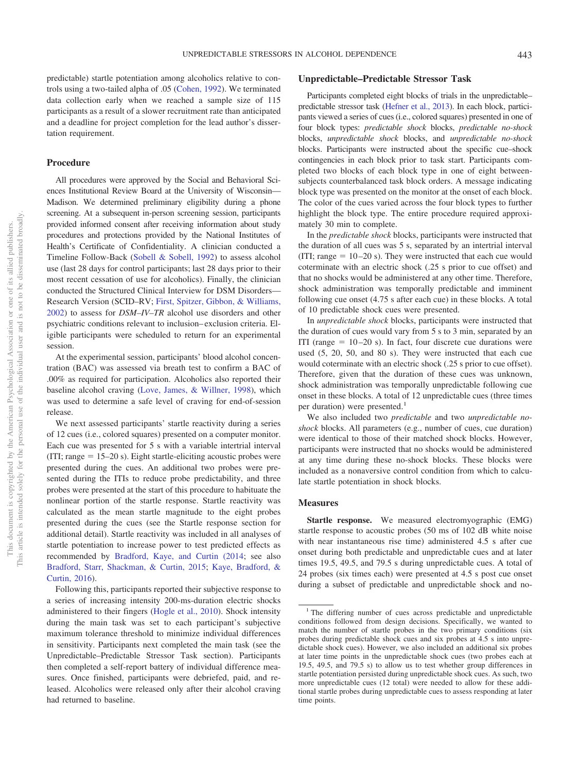predictable) startle potentiation among alcoholics relative to controls using a two-tailed alpha of .05 [\(Cohen, 1992\)](#page-9-5). We terminated data collection early when we reached a sample size of 115 participants as a result of a slower recruitment rate than anticipated and a deadline for project completion for the lead author's dissertation requirement.

## **Procedure**

All procedures were approved by the Social and Behavioral Sciences Institutional Review Board at the University of Wisconsin— Madison. We determined preliminary eligibility during a phone screening. At a subsequent in-person screening session, participants provided informed consent after receiving information about study procedures and protections provided by the National Institutes of Health's Certificate of Confidentiality. A clinician conducted a Timeline Follow-Back [\(Sobell & Sobell, 1992\)](#page-11-10) to assess alcohol use (last 28 days for control participants; last 28 days prior to their most recent cessation of use for alcoholics). Finally, the clinician conducted the Structured Clinical Interview for DSM Disorders— Research Version (SCID–RV; [First, Spitzer, Gibbon, & Williams,](#page-10-12) [2002\)](#page-10-12) to assess for *DSM–IV–TR* alcohol use disorders and other psychiatric conditions relevant to inclusion– exclusion criteria. Eligible participants were scheduled to return for an experimental session.

At the experimental session, participants' blood alcohol concentration (BAC) was assessed via breath test to confirm a BAC of .00% as required for participation. Alcoholics also reported their baseline alcohol craving [\(Love, James, & Willner, 1998\)](#page-11-11), which was used to determine a safe level of craving for end-of-session release.

We next assessed participants' startle reactivity during a series of 12 cues (i.e., colored squares) presented on a computer monitor. Each cue was presented for 5 s with a variable intertrial interval  $(III; range = 15-20 s)$ . Eight startle-eliciting acoustic probes were presented during the cues. An additional two probes were presented during the ITIs to reduce probe predictability, and three probes were presented at the start of this procedure to habituate the nonlinear portion of the startle response. Startle reactivity was calculated as the mean startle magnitude to the eight probes presented during the cues (see the Startle response section for additional detail). Startle reactivity was included in all analyses of startle potentiation to increase power to test predicted effects as recommended by [Bradford, Kaye, and Curtin \(2014;](#page-9-6) see also [Bradford, Starr, Shackman, & Curtin, 2015;](#page-9-7) [Kaye, Bradford, &](#page-10-13) [Curtin, 2016\)](#page-10-13).

Following this, participants reported their subjective response to a series of increasing intensity 200-ms-duration electric shocks administered to their fingers [\(Hogle et al., 2010\)](#page-10-10). Shock intensity during the main task was set to each participant's subjective maximum tolerance threshold to minimize individual differences in sensitivity. Participants next completed the main task (see the Unpredictable–Predictable Stressor Task section). Participants then completed a self-report battery of individual difference measures. Once finished, participants were debriefed, paid, and released. Alcoholics were released only after their alcohol craving had returned to baseline.

## **Unpredictable–Predictable Stressor Task**

Participants completed eight blocks of trials in the unpredictable– predictable stressor task [\(Hefner et al., 2013\)](#page-10-9). In each block, participants viewed a series of cues (i.e., colored squares) presented in one of four block types: *predictable shock* blocks, *predictable no-shock* blocks, *unpredictable shock* blocks, and *unpredictable no-shock* blocks. Participants were instructed about the specific cue–shock contingencies in each block prior to task start. Participants completed two blocks of each block type in one of eight betweensubjects counterbalanced task block orders. A message indicating block type was presented on the monitor at the onset of each block. The color of the cues varied across the four block types to further highlight the block type. The entire procedure required approximately 30 min to complete.

In the *predictable shock* blocks, participants were instructed that the duration of all cues was 5 s, separated by an intertrial interval  $(III; range = 10-20 s)$ . They were instructed that each cue would coterminate with an electric shock (.25 s prior to cue offset) and that no shocks would be administered at any other time. Therefore, shock administration was temporally predictable and imminent following cue onset (4.75 s after each cue) in these blocks. A total of 10 predictable shock cues were presented.

In *unpredictable shock* blocks, participants were instructed that the duration of cues would vary from 5 s to 3 min, separated by an ITI (range  $= 10-20$  s). In fact, four discrete cue durations were used (5, 20, 50, and 80 s). They were instructed that each cue would coterminate with an electric shock (.25 s prior to cue offset). Therefore, given that the duration of these cues was unknown, shock administration was temporally unpredictable following cue onset in these blocks. A total of 12 unpredictable cues (three times per duration) were presented.<sup>1</sup>

We also included two *predictable* and two *unpredictable noshock* blocks. All parameters (e.g., number of cues, cue duration) were identical to those of their matched shock blocks. However, participants were instructed that no shocks would be administered at any time during these no-shock blocks. These blocks were included as a nonaversive control condition from which to calculate startle potentiation in shock blocks.

### **Measures**

**Startle response.** We measured electromyographic (EMG) startle response to acoustic probes (50 ms of 102 dB white noise with near instantaneous rise time) administered 4.5 s after cue onset during both predictable and unpredictable cues and at later times 19.5, 49.5, and 79.5 s during unpredictable cues. A total of 24 probes (six times each) were presented at 4.5 s post cue onset during a subset of predictable and unpredictable shock and no-

<sup>&</sup>lt;sup>1</sup> The differing number of cues across predictable and unpredictable conditions followed from design decisions. Specifically, we wanted to match the number of startle probes in the two primary conditions (six probes during predictable shock cues and six probes at 4.5 s into unpredictable shock cues). However, we also included an additional six probes at later time points in the unpredictable shock cues (two probes each at 19.5, 49.5, and 79.5 s) to allow us to test whether group differences in startle potentiation persisted during unpredictable shock cues. As such, two more unpredictable cues (12 total) were needed to allow for these additional startle probes during unpredictable cues to assess responding at later time points.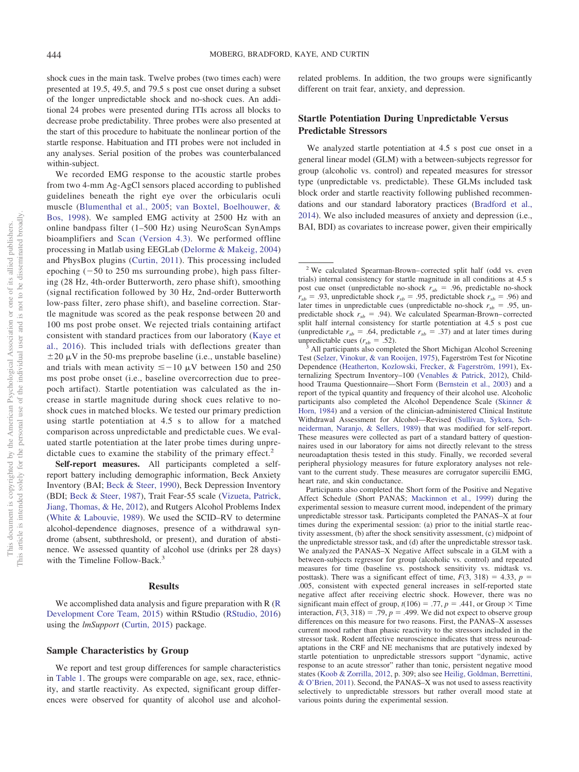shock cues in the main task. Twelve probes (two times each) were presented at 19.5, 49.5, and 79.5 s post cue onset during a subset of the longer unpredictable shock and no-shock cues. An additional 24 probes were presented during ITIs across all blocks to decrease probe predictability. Three probes were also presented at the start of this procedure to habituate the nonlinear portion of the startle response. Habituation and ITI probes were not included in any analyses. Serial position of the probes was counterbalanced within-subject.

We recorded EMG response to the acoustic startle probes from two 4-mm Ag-AgCl sensors placed according to published guidelines beneath the right eye over the orbicularis oculi muscle [\(Blumenthal et al., 2005;](#page-9-8) [van Boxtel, Boelhouwer, &](#page-11-12) [Bos, 1998\)](#page-11-12). We sampled EMG activity at 2500 Hz with an online bandpass filter (1–500 Hz) using NeuroScan SynAmps bioamplifiers and [Scan \(Version 4.3\).](#page-11-13) We performed offline processing in Matlab using EEGLab [\(Delorme & Makeig, 2004\)](#page-10-14) and PhysBox plugins [\(Curtin, 2011\)](#page-10-15). This processing included epoching  $(-50$  to 250 ms surrounding probe), high pass filtering (28 Hz, 4th-order Butterworth, zero phase shift), smoothing (signal rectification followed by 30 Hz, 2nd-order Butterworth low-pass filter, zero phase shift), and baseline correction. Startle magnitude was scored as the peak response between 20 and 100 ms post probe onset. We rejected trials containing artifact consistent with standard practices from our laboratory [\(Kaye et](#page-10-13) [al., 2016\)](#page-10-13). This included trials with deflections greater than  $\pm 20 \mu V$  in the 50-ms preprobe baseline (i.e., unstable baseline) and trials with mean activity  $\leq -10 \mu V$  between 150 and 250 ms post probe onset (i.e., baseline overcorrection due to preepoch artifact). Startle potentiation was calculated as the increase in startle magnitude during shock cues relative to noshock cues in matched blocks. We tested our primary prediction using startle potentiation at 4.5 s to allow for a matched comparison across unpredictable and predictable cues. We evaluated startle potentiation at the later probe times during unpredictable cues to examine the stability of the primary effect.<sup>2</sup>

**Self-report measures.** All participants completed a selfreport battery including demographic information, Beck Anxiety Inventory (BAI; [Beck & Steer, 1990\)](#page-9-9), Beck Depression Inventory (BDI; [Beck & Steer, 1987\)](#page-9-10), Trait Fear-55 scale [\(Vizueta, Patrick,](#page-12-0) [Jiang, Thomas, & He, 2012\)](#page-12-0), and Rutgers Alcohol Problems Index [\(White & Labouvie, 1989\)](#page-12-1). We used the SCID–RV to determine alcohol-dependence diagnoses, presence of a withdrawal syndrome (absent, subthreshold, or present), and duration of abstinence. We assessed quantity of alcohol use (drinks per 28 days) with the Timeline Follow-Back.<sup>3</sup>

#### **Results**

We accomplished data analysis and figure preparation with R [\(R](#page-11-14)) [Development Core Team, 2015\)](#page-11-14) within RStudio [\(RStudio, 2016\)](#page-11-15) using the *lmSupport* [\(Curtin, 2015\)](#page-10-16) package.

## **Sample Characteristics by Group**

We report and test group differences for sample characteristics in [Table 1.](#page-4-0) The groups were comparable on age, sex, race, ethnicity, and startle reactivity. As expected, significant group differences were observed for quantity of alcohol use and alcoholrelated problems. In addition, the two groups were significantly different on trait fear, anxiety, and depression.

## **Startle Potentiation During Unpredictable Versus Predictable Stressors**

We analyzed startle potentiation at 4.5 s post cue onset in a general linear model (GLM) with a between-subjects regressor for group (alcoholic vs. control) and repeated measures for stressor type (unpredictable vs. predictable). These GLMs included task block order and startle reactivity following published recommendations and our standard laboratory practices [\(Bradford et al.,](#page-9-6) [2014\)](#page-9-6). We also included measures of anxiety and depression (i.e., BAI, BDI) as covariates to increase power, given their empirically

<sup>2</sup> We calculated Spearman-Brown– corrected split half (odd vs. even trials) internal consistency for startle magnitude in all conditions at 4.5 s post cue onset (unpredictable no-shock  $r_{sb} = .96$ , predictable no-shock  $r_{sb}$  = .93, unpredictable shock  $r_{sb}$  = .95, predictable shock  $r_{sb}$  = .96) and later times in unpredictable cues (unpredictable no-shock  $r_{sb} = .95$ , unpredictable shock  $r_{sb} = .94$ ). We calculated Spearman-Brown–corrected split half internal consistency for startle potentiation at 4.5 s post cue (unpredictable  $r_{sb} = .64$ , predictable  $r_{sb} = .37$ ) and at later times during unpredictable cues  $(r_{sb} = .52)$ .

All participants also completed the Short Michigan Alcohol Screening Test [\(Selzer, Vinokur, & van Rooijen, 1975\)](#page-11-16), Fagerström Test for Nicotine Dependence [\(Heatherton, Kozlowski, Frecker, & Fagerström, 1991\)](#page-10-17), Externalizing Spectrum Inventory–100 [\(Venables & Patrick, 2012\)](#page-12-2), Childhood Trauma Questionnaire—Short Form [\(Bernstein et al., 2003\)](#page-9-11) and a report of the typical quantity and frequency of their alcohol use. Alcoholic participants also completed the Alcohol Dependence Scale [\(Skinner &](#page-11-17) [Horn, 1984\)](#page-11-17) and a version of the clinician-administered Clinical Institute Withdrawal Assessment for Alcohol—Revised [\(Sullivan, Sykora, Sch](#page-11-18)[neiderman, Naranjo, & Sellers, 1989\)](#page-11-18) that was modified for self-report. These measures were collected as part of a standard battery of questionnaires used in our laboratory for aims not directly relevant to the stress neuroadaptation thesis tested in this study. Finally, we recorded several peripheral physiology measures for future exploratory analyses not relevant to the current study. These measures are corrugator supercilii EMG, heart rate, and skin conductance.

Participants also completed the Short form of the Positive and Negative Affect Schedule (Short PANAS; [Mackinnon et al., 1999\)](#page-11-19) during the experimental session to measure current mood, independent of the primary unpredictable stressor task. Participants completed the PANAS–X at four times during the experimental session: (a) prior to the initial startle reactivity assessment, (b) after the shock sensitivity assessment, (c) midpoint of the unpredictable stressor task, and (d) after the unpredictable stressor task. We analyzed the PANAS–X Negative Affect subscale in a GLM with a between-subjects regressor for group (alcoholic vs. control) and repeated measures for time (baseline vs. postshock sensitivity vs. midtask vs. posttask). There was a significant effect of time,  $F(3, 318) = 4.33$ ,  $p =$ .005, consistent with expected general increases in self-reported state negative affect after receiving electric shock. However, there was no significant main effect of group,  $t(106) = .77$ ,  $p = .441$ , or Group  $\times$  Time interaction,  $F(3, 318) = .79$ ,  $p = .499$ . We did not expect to observe group differences on this measure for two reasons. First, the PANAS–X assesses current mood rather than phasic reactivity to the stressors included in the stressor task. Rodent affective neuroscience indicates that stress neuroadaptations in the CRF and NE mechanisms that are putatively indexed by startle potentiation to unpredictable stressors support "dynamic, active response to an acute stressor" rather than tonic, persistent negative mood states [\(Koob & Zorrilla, 2012,](#page-11-20) p. 309; also see [Heilig, Goldman, Berrettini,](#page-10-18) [& O'Brien, 2011\)](#page-10-18). Second, the PANAS–X was not used to assess reactivity selectively to unpredictable stressors but rather overall mood state at various points during the experimental session.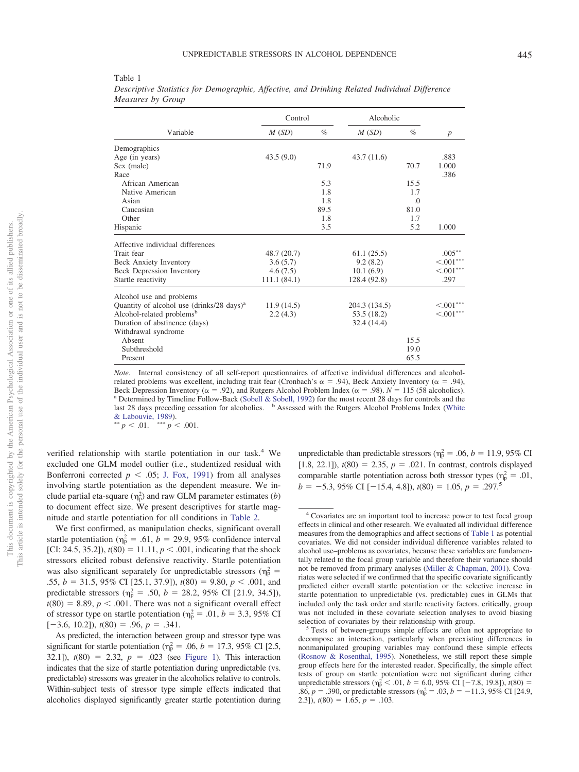|                                                       | Control      |      | Alcoholic     |          |                  |  |
|-------------------------------------------------------|--------------|------|---------------|----------|------------------|--|
| Variable                                              | M(SD)        | $\%$ | M(SD)         | $\%$     | $\boldsymbol{p}$ |  |
| Demographics                                          |              |      |               |          |                  |  |
| Age (in years)                                        | 43.5(9.0)    |      | 43.7(11.6)    |          | .883             |  |
| Sex (male)                                            |              | 71.9 |               | 70.7     | 1.000            |  |
| Race                                                  |              |      |               |          | .386             |  |
| African American                                      |              | 5.3  |               | 15.5     |                  |  |
| Native American                                       |              | 1.8  |               | 1.7      |                  |  |
| Asian                                                 |              | 1.8  |               | $\Omega$ |                  |  |
| Caucasian                                             |              | 89.5 |               | 81.0     |                  |  |
| Other                                                 |              | 1.8  |               | 1.7      |                  |  |
| Hispanic                                              |              | 3.5  |               | 5.2      | 1.000            |  |
| Affective individual differences                      |              |      |               |          |                  |  |
| Trait fear                                            | 48.7(20.7)   |      | 61.1(25.5)    |          | $.005***$        |  |
| <b>Beck Anxiety Inventory</b>                         | 3.6(5.7)     |      | 9.2(8.2)      |          | $\leq 0.01***$   |  |
| <b>Beck Depression Inventory</b>                      | 4.6(7.5)     |      | 10.1(6.9)     |          | $< .001$ ***     |  |
| Startle reactivity                                    | 111.1 (84.1) |      | 128.4 (92.8)  |          | .297             |  |
| Alcohol use and problems                              |              |      |               |          |                  |  |
| Quantity of alcohol use (drinks/28 days) <sup>a</sup> | 11.9(14.5)   |      | 204.3 (134.5) |          | $< .001***$      |  |
| Alcohol-related problems <sup>b</sup>                 | 2.2(4.3)     |      | 53.5 (18.2)   |          | $< .001$ ***     |  |
| Duration of abstinence (days)                         |              |      | 32.4 (14.4)   |          |                  |  |
| Withdrawal syndrome                                   |              |      |               |          |                  |  |
| Absent                                                |              |      |               | 15.5     |                  |  |
| Subthreshold                                          |              |      |               | 19.0     |                  |  |
| Present                                               |              |      |               | 65.5     |                  |  |

<span id="page-4-0"></span>Table 1 *Descriptive Statistics for Demographic, Affective, and Drinking Related Individual Difference Measures by Group*

*Note*. Internal consistency of all self-report questionnaires of affective individual differences and alcoholrelated problems was excellent, including trait fear (Cronbach's  $\alpha = .94$ ), Beck Anxiety Inventory ( $\alpha = .94$ ), Beck Depression Inventory ( $\alpha = .92$ ), and Rutgers Alcohol Problem Index ( $\alpha = .98$ ). *N* = <sup>a</sup> Determined by Timeline Follow-Back [\(Sobell & Sobell, 1992\)](#page-11-10) for the most recent 28 days for controls and the last 28 days preceding cessation for alcoholics. <sup>b</sup> Assessed with the Rutgers Alcohol Problems Index [\(White](#page-12-1) [& Labouvie, 1989\)](#page-12-1).

 $p < .01.$  \*\*\*  $p < .001.$ 

verified relationship with startle potentiation in our task.<sup>4</sup> We excluded one GLM model outlier (i.e., studentized residual with Bonferroni corrected  $p < .05$ ; [J. Fox, 1991\)](#page-10-19) from all analyses involving startle potentiation as the dependent measure. We include partial eta-square  $(\eta_p^2)$  and raw GLM parameter estimates (*b*) to document effect size. We present descriptives for startle magnitude and startle potentiation for all conditions in [Table 2.](#page-5-0)

We first confirmed, as manipulation checks, significant overall startle potentiation ( $\eta_p^2 = .61$ ,  $b = 29.9$ , 95% confidence interval [CI: 24.5, 35.2]),  $t(80) = 11.11$ ,  $p < .001$ , indicating that the shock stressors elicited robust defensive reactivity. Startle potentiation was also significant separately for unpredictable stressors ( $\eta_p^2$  = .55,  $b = 31.5, 95\%$  CI [25.1, 37.9]),  $t(80) = 9.80, p < .001$ , and predictable stressors ( $\eta_p^2 = .50$ ,  $b = 28.2$ , 95% CI [21.9, 34.5]),  $t(80) = 8.89, p < .001$ . There was not a significant overall effect of stressor type on startle potentiation ( $\eta_p^2 = .01$ ,  $b = 3.3$ , 95% CI  $[-3.6, 10.2]$ ,  $t(80) = .96$ ,  $p = .341$ .

As predicted, the interaction between group and stressor type was significant for startle potentiation ( $\eta_p^2 = .06$ ,  $b = 17.3$ , 95% CI [2.5, 32.1]),  $t(80) = 2.32$ ,  $p = .023$  (see [Figure 1\)](#page-5-1). This interaction indicates that the size of startle potentiation during unpredictable (vs. predictable) stressors was greater in the alcoholics relative to controls. Within-subject tests of stressor type simple effects indicated that alcoholics displayed significantly greater startle potentiation during

unpredictable than predictable stressors ( $\eta_p^2 = .06$ ,  $b = 11.9$ , 95% CI  $[1.8, 22.1]$ ,  $t(80) = 2.35$ ,  $p = .021$ . In contrast, controls displayed comparable startle potentiation across both stressor types ( $\eta_p^2 = .01$ ,  $b = -5.3$ , 95% CI [-15.4, 4.8]),  $t(80) = 1.05$ ,  $p = .297$ <sup>5</sup>

<sup>4</sup> Covariates are an important tool to increase power to test focal group effects in clinical and other research. We evaluated all individual difference measures from the demographics and affect sections of [Table 1](#page-4-0) as potential covariates. We did not consider individual difference variables related to alcohol use–problems as covariates, because these variables are fundamentally related to the focal group variable and therefore their variance should not be removed from primary analyses [\(Miller & Chapman, 2001\)](#page-11-21). Covariates were selected if we confirmed that the specific covariate significantly predicted either overall startle potentiation or the selective increase in startle potentiation to unpredictable (vs. predictable) cues in GLMs that included only the task order and startle reactivity factors. critically, group was not included in these covariate selection analyses to avoid biasing

selection of covariates by their relationship with group.<br><sup>5</sup> Tests of between-groups simple effects are often not appropriate to decompose an interaction, particularly when preexisting differences in nonmanipulated grouping variables may confound these simple effects [\(Rosnow & Rosenthal, 1995\)](#page-11-22). Nonetheless, we still report these simple group effects here for the interested reader. Specifically, the simple effect tests of group on startle potentiation were not significant during either unpredictable stressors ( $\eta_p^2 < .01$ ,  $b = 6.0$ , 95% CI [-7.8, 19.8]),  $t(80) =$ .86,  $p = .390$ , or predictable stressors ( $\eta_p^2 = .03$ ,  $b = -11.3$ , 95% CI [24.9,  $(2.3)$ ,  $t(80) = 1.65$ ,  $p = .103$ .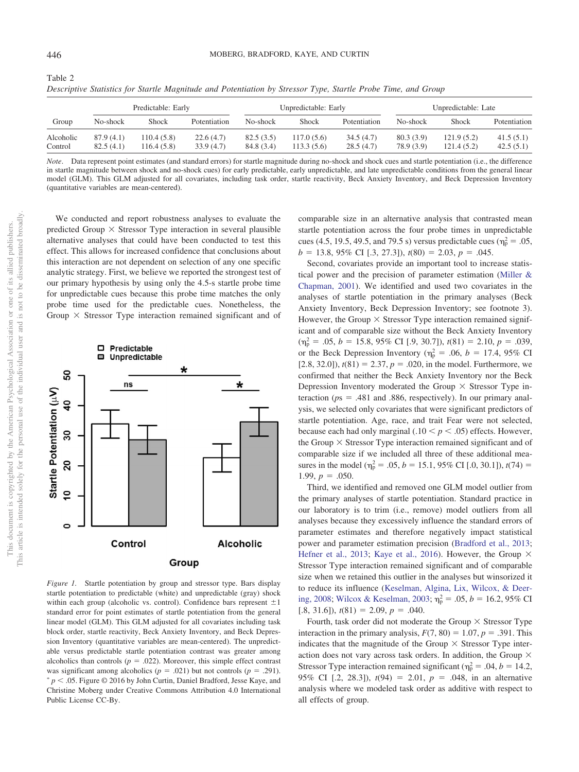<span id="page-5-0"></span>Table 2

| Descriptive Statistics for Startle Magnitude and Potentiation by Stressor Type, Startle Probe Time, and Group |                    |       |                      |          |       |                     |          |       |              |  |  |  |
|---------------------------------------------------------------------------------------------------------------|--------------------|-------|----------------------|----------|-------|---------------------|----------|-------|--------------|--|--|--|
|                                                                                                               | Predictable: Early |       | Unpredictable: Early |          |       | Unpredictable: Late |          |       |              |  |  |  |
| Group                                                                                                         | No-shock           | Shock | Potentiation         | No-shock | Shock | Potentiation        | No-shock | Shock | Potentiation |  |  |  |

*Descriptive Statistics for Startle Magnitude and Potentiation by Stressor Type, Startle Probe Time, and Group*

*Note*. Data represent point estimates (and standard errors) for startle magnitude during no-shock and shock cues and startle potentiation (i.e., the difference in startle magnitude between shock and no-shock cues) for early predictable, early unpredictable, and late unpredictable conditions from the general linear model (GLM). This GLM adjusted for all covariates, including task order, startle reactivity, Beck Anxiety Inventory, and Beck Depression Inventory (quantitative variables are mean-centered).

Alcoholic 87.9 (4.1) 110.4 (5.8) 22.6 (4.7) 82.5 (3.5) 117.0 (5.6) 34.5 (4.7) 80.3 (3.9) 121.9 (5.2) 41.5 (5.1) Control 82.5 (4.1) 116.4 (5.8) 33.9 (4.7) 84.8 (3.4) 113.3 (5.6) 28.5 (4.7) 78.9 (3.9) 121.4 (5.2) 42.5 (5.1)

We conducted and report robustness analyses to evaluate the predicted Group  $\times$  Stressor Type interaction in several plausible alternative analyses that could have been conducted to test this effect. This allows for increased confidence that conclusions about this interaction are not dependent on selection of any one specific analytic strategy. First, we believe we reported the strongest test of our primary hypothesis by using only the 4.5-s startle probe time for unpredictable cues because this probe time matches the only probe time used for the predictable cues. Nonetheless, the Group  $\times$  Stressor Type interaction remained significant and of



<span id="page-5-1"></span>*Figure 1.* Startle potentiation by group and stressor type. Bars display startle potentiation to predictable (white) and unpredictable (gray) shock within each group (alcoholic vs. control). Confidence bars represent  $\pm 1$ standard error for point estimates of startle potentiation from the general linear model (GLM). This GLM adjusted for all covariates including task block order, startle reactivity, Beck Anxiety Inventory, and Beck Depression Inventory (quantitative variables are mean-centered). The unpredictable versus predictable startle potentiation contrast was greater among alcoholics than controls ( $p = .022$ ). Moreover, this simple effect contrast was significant among alcoholics ( $p = .021$ ) but not controls ( $p = .291$ ).  $p < .05$ . Figure  $\odot$  2016 by John Curtin, Daniel Bradford, Jesse Kaye, and Christine Moberg under Creative Commons Attribution 4.0 International Public License CC-By.

comparable size in an alternative analysis that contrasted mean startle potentiation across the four probe times in unpredictable cues (4.5, 19.5, 49.5, and 79.5 s) versus predictable cues ( $\eta_p^2 = .05$ ,  $b = 13.8, 95\% \text{ CI}$  [.3, 27.3]),  $t(80) = 2.03, p = .045$ .

Second, covariates provide an important tool to increase statistical power and the precision of parameter estimation [\(Miller &](#page-11-21) [Chapman, 2001\)](#page-11-21). We identified and used two covariates in the analyses of startle potentiation in the primary analyses (Beck Anxiety Inventory, Beck Depression Inventory; see footnote 3). However, the Group  $\times$  Stressor Type interaction remained significant and of comparable size without the Beck Anxiety Inventory  $(\eta_{\rm p}^2 = .05, b = 15.8, 95\% \text{ CI}$  [.9, 30.7]),  $t(81) = 2.10, p = .039$ , or the Beck Depression Inventory ( $\eta_p^2 = .06$ ,  $b = 17.4$ , 95% CI  $[2.8, 32.0]$ ,  $t(81) = 2.37$ ,  $p = .020$ , in the model. Furthermore, we confirmed that neither the Beck Anxiety Inventory nor the Beck Depression Inventory moderated the Group  $\times$  Stressor Type interaction ( $ps = .481$  and .886, respectively). In our primary analysis, we selected only covariates that were significant predictors of startle potentiation. Age, race, and trait Fear were not selected, because each had only marginal  $(.10 \le p \le .05)$  effects. However, the Group  $\times$  Stressor Type interaction remained significant and of comparable size if we included all three of these additional measures in the model ( $\eta_p^2 = .05$ ,  $b = 15.1$ , 95% CI [.0, 30.1]),  $t(74) =$  $1.99, p = .050.$ 

Third, we identified and removed one GLM model outlier from the primary analyses of startle potentiation. Standard practice in our laboratory is to trim (i.e., remove) model outliers from all analyses because they excessively influence the standard errors of parameter estimates and therefore negatively impact statistical power and parameter estimation precision [\(Bradford et al., 2013;](#page-9-3) [Hefner et al., 2013;](#page-10-9) [Kaye et al., 2016\)](#page-10-13). However, the Group  $\times$ Stressor Type interaction remained significant and of comparable size when we retained this outlier in the analyses but winsorized it to reduce its influence [\(Keselman, Algina, Lix, Wilcox, & Deer](#page-10-20)[ing, 2008;](#page-10-20) [Wilcox & Keselman, 2003;](#page-12-3)  $\eta_p^2 = .05$ ,  $b = 16.2$ , 95% CI  $[.8, 31.6]$ ,  $t(81) = 2.09$ ,  $p = .040$ .

Fourth, task order did not moderate the Group  $\times$  Stressor Type interaction in the primary analysis,  $F(7, 80) = 1.07$ ,  $p = .391$ . This indicates that the magnitude of the Group  $\times$  Stressor Type interaction does not vary across task orders. In addition, the Group  $\times$ Stressor Type interaction remained significant ( $\eta_p^2 = .04$ ,  $b = 14.2$ , 95% CI [.2, 28.3]),  $t(94) = 2.01$ ,  $p = .048$ , in an alternative analysis where we modeled task order as additive with respect to all effects of group.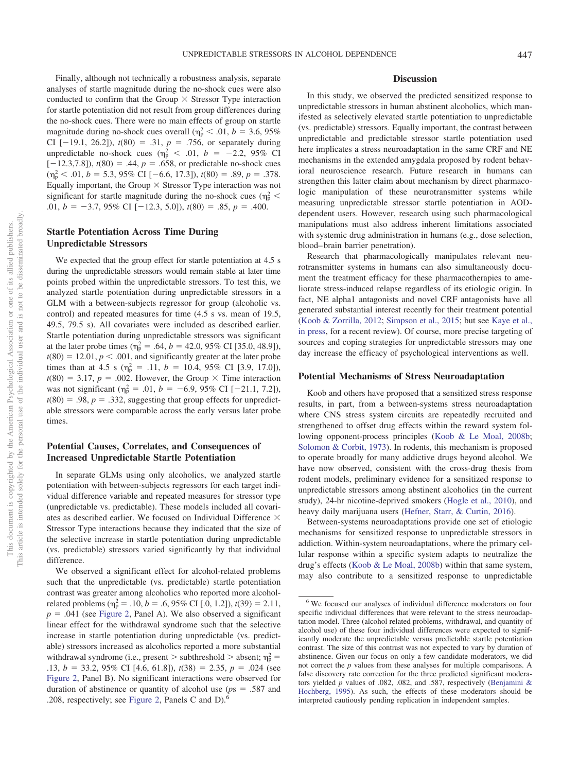Finally, although not technically a robustness analysis, separate analyses of startle magnitude during the no-shock cues were also conducted to confirm that the Group  $\times$  Stressor Type interaction for startle potentiation did not result from group differences during the no-shock cues. There were no main effects of group on startle magnitude during no-shock cues overall ( $\eta_p^2 < .01$ ,  $b = 3.6, 95\%$ CI  $[-19.1, 26.2]$ ,  $t(80) = .31$ ,  $p = .756$ , or separately during unpredictable no-shock cues ( $\eta_p^2 < .01$ ,  $b = -2.2$ , 95% CI  $[-12.3,7.8]$ ,  $t(80) = .44$ ,  $p = .658$ , or predictable no-shock cues  $(\eta_{\text{p}}^2 < .01, b = 5.3, 95\% \text{ CI} [-6.6, 17.3]), t(80) = .89, p = .378.$ Equally important, the Group  $\times$  Stressor Type interaction was not significant for startle magnitude during the no-shock cues ( $\eta_{\rm p}^2$  < .01,  $b = -3.7,95\%$  CI [-12.3, 5.0]),  $t(80) = .85, p = .400$ .

## **Startle Potentiation Across Time During Unpredictable Stressors**

We expected that the group effect for startle potentiation at 4.5 s during the unpredictable stressors would remain stable at later time points probed within the unpredictable stressors. To test this, we analyzed startle potentiation during unpredictable stressors in a GLM with a between-subjects regressor for group (alcoholic vs. control) and repeated measures for time (4.5 s vs. mean of 19.5, 49.5, 79.5 s). All covariates were included as described earlier. Startle potentiation during unpredictable stressors was significant at the later probe times ( $\eta_p^2 = .64$ ,  $b = 42.0, 95\%$  CI [35.0, 48.9]),  $t(80) = 12.01, p < .001$ , and significantly greater at the later probe times than at 4.5 s ( $\eta_p^2 = .11$ ,  $b = 10.4$ , 95% CI [3.9, 17.0]),  $t(80) = 3.17$ ,  $p = .002$ . However, the Group  $\times$  Time interaction was not significant ( $\eta_p^2 = .01$ ,  $b = -6.9$ , 95% CI [-21.1, 7.2]),  $t(80) = .98$ ,  $p = .332$ , suggesting that group effects for unpredictable stressors were comparable across the early versus later probe times.

## **Potential Causes, Correlates, and Consequences of Increased Unpredictable Startle Potentiation**

In separate GLMs using only alcoholics, we analyzed startle potentiation with between-subjects regressors for each target individual difference variable and repeated measures for stressor type (unpredictable vs. predictable). These models included all covariates as described earlier. We focused on Individual Difference Stressor Type interactions because they indicated that the size of the selective increase in startle potentiation during unpredictable (vs. predictable) stressors varied significantly by that individual difference.

We observed a significant effect for alcohol-related problems such that the unpredictable (vs. predictable) startle potentiation contrast was greater among alcoholics who reported more alcoholrelated problems ( $\eta_p^2 = .10$ ,  $b = .6$ , 95% CI [.0, 1.2]),  $t(39) = 2.11$ ,  $p = .041$  (see [Figure 2,](#page-7-0) Panel A). We also observed a significant linear effect for the withdrawal syndrome such that the selective increase in startle potentiation during unpredictable (vs. predictable) stressors increased as alcoholics reported a more substantial withdrawal syndrome (i.e., present  $>$  subthreshold  $>$  absent;  $\eta_p^2$  = .13,  $b = 33.2, 95\%$  CI [4.6, 61.8]),  $t(38) = 2.35, p = .024$  (see [Figure 2,](#page-7-0) Panel B). No significant interactions were observed for duration of abstinence or quantity of alcohol use  $(ps = .587$  and .208, respectively; see [Figure 2,](#page-7-0) Panels C and D).6

## **Discussion**

In this study, we observed the predicted sensitized response to unpredictable stressors in human abstinent alcoholics, which manifested as selectively elevated startle potentiation to unpredictable (vs. predictable) stressors. Equally important, the contrast between unpredictable and predictable stressor startle potentiation used here implicates a stress neuroadaptation in the same CRF and NE mechanisms in the extended amygdala proposed by rodent behavioral neuroscience research. Future research in humans can strengthen this latter claim about mechanism by direct pharmacologic manipulation of these neurotransmitter systems while measuring unpredictable stressor startle potentiation in AODdependent users. However, research using such pharmacological manipulations must also address inherent limitations associated with systemic drug administration in humans (e.g., dose selection, blood– brain barrier penetration).

Research that pharmacologically manipulates relevant neurotransmitter systems in humans can also simultaneously document the treatment efficacy for these pharmacotherapies to ameliorate stress-induced relapse regardless of its etiologic origin. In fact, NE alpha1 antagonists and novel CRF antagonists have all generated substantial interest recently for their treatment potential [\(Koob & Zorrilla, 2012;](#page-11-20) [Simpson et al., 2015;](#page-11-23) but see [Kaye et al.,](#page-10-0) [in press,](#page-10-0) for a recent review). Of course, more precise targeting of sources and coping strategies for unpredictable stressors may one day increase the efficacy of psychological interventions as well.

## **Potential Mechanisms of Stress Neuroadaptation**

Koob and others have proposed that a sensitized stress response results, in part, from a between-systems stress neuroadaptation where CNS stress system circuits are repeatedly recruited and strengthened to offset drug effects within the reward system following opponent-process principles [\(Koob & Le Moal, 2008b;](#page-10-21) [Solomon & Corbit, 1973\)](#page-11-24). In rodents, this mechanism is proposed to operate broadly for many addictive drugs beyond alcohol. We have now observed, consistent with the cross-drug thesis from rodent models, preliminary evidence for a sensitized response to unpredictable stressors among abstinent alcoholics (in the current study), 24-hr nicotine-deprived smokers [\(Hogle et al., 2010\)](#page-10-10), and heavy daily marijuana users [\(Hefner, Starr, & Curtin, 2016\)](#page-10-22).

Between-systems neuroadaptations provide one set of etiologic mechanisms for sensitized response to unpredictable stressors in addiction. Within-system neuroadaptations, where the primary cellular response within a specific system adapts to neutralize the drug's effects [\(Koob & Le Moal, 2008b\)](#page-10-21) within that same system, may also contribute to a sensitized response to unpredictable

<sup>6</sup> We focused our analyses of individual difference moderators on four specific individual differences that were relevant to the stress neuroadaptation model. Three (alcohol related problems, withdrawal, and quantity of alcohol use) of these four individual differences were expected to significantly moderate the unpredictable versus predictable startle potentiation contrast. The size of this contrast was not expected to vary by duration of abstinence. Given our focus on only a few candidate moderators, we did not correct the *p* values from these analyses for multiple comparisons. A false discovery rate correction for the three predicted significant moderators yielded *p* values of .082, .082, and .587, respectively [\(Benjamini &](#page-9-12) [Hochberg, 1995\)](#page-9-12). As such, the effects of these moderators should be interpreted cautiously pending replication in independent samples.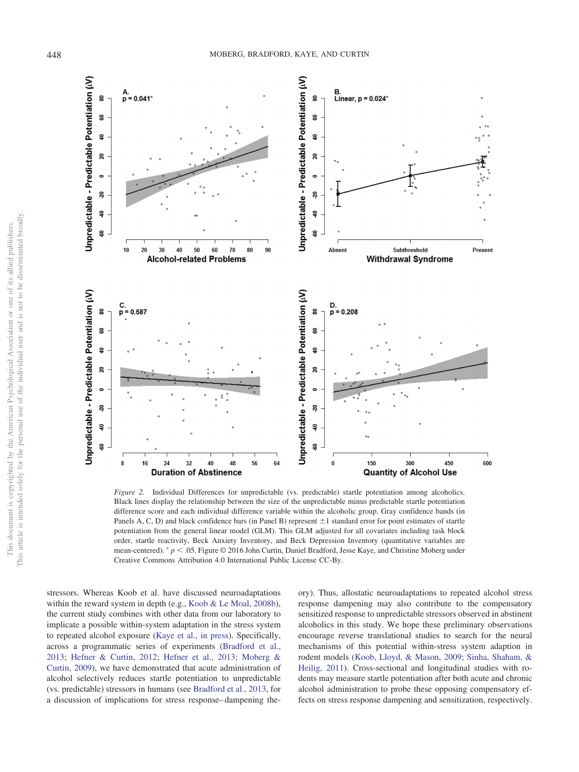

<span id="page-7-0"></span>*Figure 2.* Individual Differences for unpredictable (vs. predictable) startle potentiation among alcoholics. Black lines display the relationship between the size of the unpredictable minus predictable startle potentiation difference score and each individual difference variable within the alcoholic group. Gray confidence bands (in Panels A, C, D) and black confidence bars (in Panel B) represent  $\pm 1$  standard error for point estimates of startle potentiation from the general linear model (GLM). This GLM adjusted for all covariates including task block order, startle reactivity, Beck Anxiety Inventory, and Beck Depression Inventory (quantitative variables are mean-centered). <sup>\*</sup>  $p < .05$ . Figure © 2016 John Curtin, Daniel Bradford, Jesse Kaye, and Christine Moberg under Creative Commons Attribution 4.0 International Public License CC-By.

stressors. Whereas Koob et al. have discussed neuroadaptations within the reward system in depth (e.g., [Koob & Le Moal, 2008b\)](#page-10-21), the current study combines with other data from our laboratory to implicate a possible within-system adaptation in the stress system to repeated alcohol exposure [\(Kaye et al., in press\)](#page-10-0). Specifically, across a programmatic series of experiments [\(Bradford et al.,](#page-9-3) [2013;](#page-9-3) [Hefner & Curtin, 2012;](#page-10-8) [Hefner et al., 2013;](#page-10-9) [Moberg &](#page-11-5) [Curtin, 2009\)](#page-11-5), we have demonstrated that acute administration of alcohol selectively reduces startle potentiation to unpredictable (vs. predictable) stressors in humans (see [Bradford et al., 2013,](#page-9-3) for a discussion of implications for stress response– dampening theory). Thus, allostatic neuroadaptations to repeated alcohol stress response dampening may also contribute to the compensatory sensitized response to unpredictable stressors observed in abstinent alcoholics in this study. We hope these preliminary observations encourage reverse translational studies to search for the neural mechanisms of this potential within-stress system adaption in rodent models [\(Koob, Lloyd, & Mason, 2009;](#page-11-25) [Sinha, Shaham, &](#page-11-26) [Heilig, 2011\)](#page-11-26). Cross-sectional and longitudinal studies with rodents may measure startle potentiation after both acute and chronic alcohol administration to probe these opposing compensatory effects on stress response dampening and sensitization, respectively.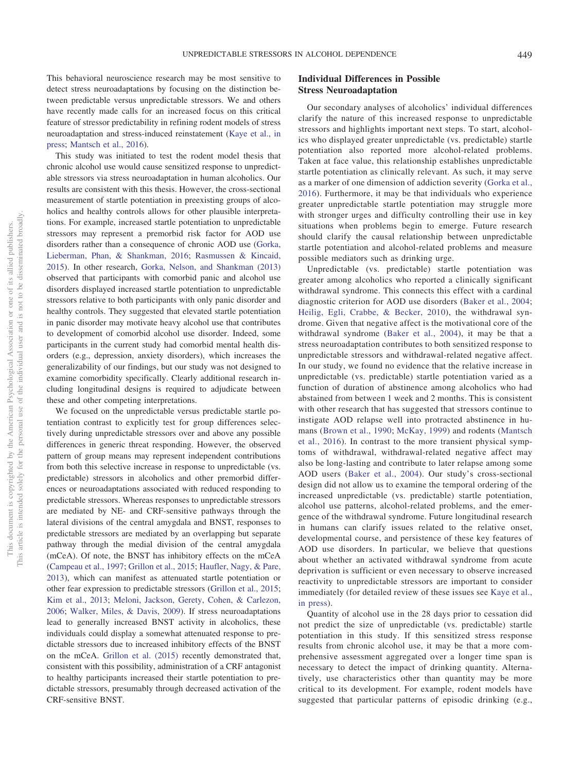This behavioral neuroscience research may be most sensitive to detect stress neuroadaptations by focusing on the distinction between predictable versus unpredictable stressors. We and others have recently made calls for an increased focus on this critical feature of stressor predictability in refining rodent models of stress neuroadaptation and stress-induced reinstatement [\(Kaye et al., in](#page-10-0) [press;](#page-10-0) [Mantsch et al., 2016\)](#page-11-1).

This study was initiated to test the rodent model thesis that chronic alcohol use would cause sensitized response to unpredictable stressors via stress neuroadaptation in human alcoholics. Our results are consistent with this thesis. However, the cross-sectional measurement of startle potentiation in preexisting groups of alcoholics and healthy controls allows for other plausible interpretations. For example, increased startle potentiation to unpredictable stressors may represent a premorbid risk factor for AOD use disorders rather than a consequence of chronic AOD use [\(Gorka,](#page-10-23) [Lieberman, Phan, & Shankman, 2016;](#page-10-23) [Rasmussen & Kincaid,](#page-11-27) [2015\)](#page-11-27). In other research, [Gorka, Nelson, and Shankman \(2013\)](#page-10-24) observed that participants with comorbid panic and alcohol use disorders displayed increased startle potentiation to unpredictable stressors relative to both participants with only panic disorder and healthy controls. They suggested that elevated startle potentiation in panic disorder may motivate heavy alcohol use that contributes to development of comorbid alcohol use disorder. Indeed, some participants in the current study had comorbid mental health disorders (e.g., depression, anxiety disorders), which increases the generalizability of our findings, but our study was not designed to examine comorbidity specifically. Clearly additional research including longitudinal designs is required to adjudicate between these and other competing interpretations.

We focused on the unpredictable versus predictable startle potentiation contrast to explicitly test for group differences selectively during unpredictable stressors over and above any possible differences in generic threat responding. However, the observed pattern of group means may represent independent contributions from both this selective increase in response to unpredictable (vs. predictable) stressors in alcoholics and other premorbid differences or neuroadaptations associated with reduced responding to predictable stressors. Whereas responses to unpredictable stressors are mediated by NE- and CRF-sensitive pathways through the lateral divisions of the central amygdala and BNST, responses to predictable stressors are mediated by an overlapping but separate pathway through the medial division of the central amygdala (mCeA). Of note, the BNST has inhibitory effects on the mCeA [\(Campeau et al., 1997;](#page-9-13) [Grillon et al., 2015;](#page-10-25) [Haufler, Nagy, & Pare,](#page-10-26) [2013\)](#page-10-26), which can manifest as attenuated startle potentiation or other fear expression to predictable stressors [\(Grillon et al., 2015;](#page-10-25) [Kim et al., 2013;](#page-10-27) [Meloni, Jackson, Gerety, Cohen, & Carlezon,](#page-11-28) [2006;](#page-11-28) [Walker, Miles, & Davis, 2009\)](#page-12-4). If stress neuroadaptations lead to generally increased BNST activity in alcoholics, these individuals could display a somewhat attenuated response to predictable stressors due to increased inhibitory effects of the BNST on the mCeA. [Grillon et al. \(2015\)](#page-10-25) recently demonstrated that, consistent with this possibility, administration of a CRF antagonist to healthy participants increased their startle potentiation to predictable stressors, presumably through decreased activation of the CRF-sensitive BNST.

## **Individual Differences in Possible Stress Neuroadaptation**

Our secondary analyses of alcoholics' individual differences clarify the nature of this increased response to unpredictable stressors and highlights important next steps. To start, alcoholics who displayed greater unpredictable (vs. predictable) startle potentiation also reported more alcohol-related problems. Taken at face value, this relationship establishes unpredictable startle potentiation as clinically relevant. As such, it may serve as a marker of one dimension of addiction severity [\(Gorka et al.,](#page-10-23) [2016\)](#page-10-23). Furthermore, it may be that individuals who experience greater unpredictable startle potentiation may struggle more with stronger urges and difficulty controlling their use in key situations when problems begin to emerge. Future research should clarify the causal relationship between unpredictable startle potentiation and alcohol-related problems and measure possible mediators such as drinking urge.

Unpredictable (vs. predictable) startle potentiation was greater among alcoholics who reported a clinically significant withdrawal syndrome. This connects this effect with a cardinal diagnostic criterion for AOD use disorders [\(Baker et al., 2004;](#page-9-0) [Heilig, Egli, Crabbe, & Becker, 2010\)](#page-10-28), the withdrawal syndrome. Given that negative affect is the motivational core of the withdrawal syndrome [\(Baker et al., 2004\)](#page-9-0), it may be that a stress neuroadaptation contributes to both sensitized response to unpredictable stressors and withdrawal-related negative affect. In our study, we found no evidence that the relative increase in unpredictable (vs. predictable) startle potentiation varied as a function of duration of abstinence among alcoholics who had abstained from between 1 week and 2 months. This is consistent with other research that has suggested that stressors continue to instigate AOD relapse well into protracted abstinence in humans [\(Brown et al., 1990;](#page-9-14) [McKay, 1999\)](#page-11-29) and rodents [\(Mantsch](#page-11-1) [et al., 2016\)](#page-11-1). In contrast to the more transient physical symptoms of withdrawal, withdrawal-related negative affect may also be long-lasting and contribute to later relapse among some AOD users [\(Baker et al., 2004\)](#page-9-0). Our study's cross-sectional design did not allow us to examine the temporal ordering of the increased unpredictable (vs. predictable) startle potentiation, alcohol use patterns, alcohol-related problems, and the emergence of the withdrawal syndrome. Future longitudinal research in humans can clarify issues related to the relative onset, developmental course, and persistence of these key features of AOD use disorders. In particular, we believe that questions about whether an activated withdrawal syndrome from acute deprivation is sufficient or even necessary to observe increased reactivity to unpredictable stressors are important to consider immediately (for detailed review of these issues see [Kaye et al.,](#page-10-0) [in press\)](#page-10-0).

Quantity of alcohol use in the 28 days prior to cessation did not predict the size of unpredictable (vs. predictable) startle potentiation in this study. If this sensitized stress response results from chronic alcohol use, it may be that a more comprehensive assessment aggregated over a longer time span is necessary to detect the impact of drinking quantity. Alternatively, use characteristics other than quantity may be more critical to its development. For example, rodent models have suggested that particular patterns of episodic drinking (e.g.,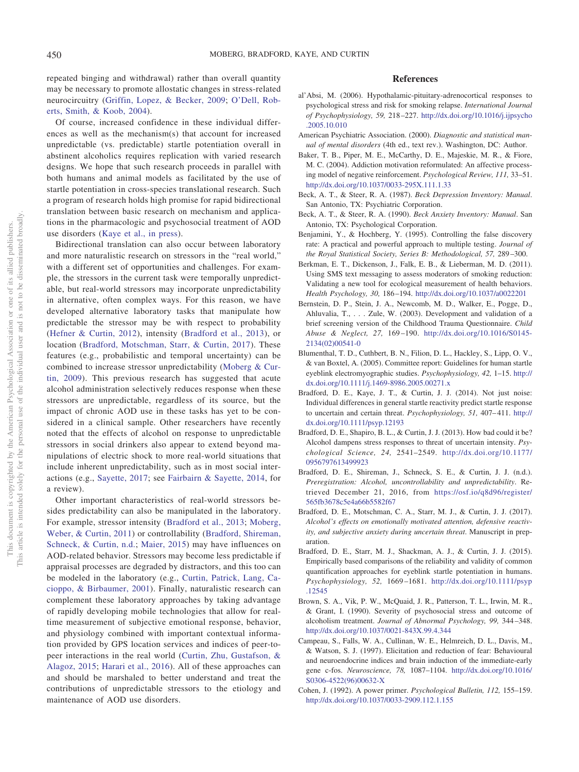repeated binging and withdrawal) rather than overall quantity may be necessary to promote allostatic changes in stress-related neurocircuitry [\(Griffin, Lopez, & Becker, 2009;](#page-10-29) [O'Dell, Rob](#page-11-30)[erts, Smith, & Koob, 2004\)](#page-11-30).

Of course, increased confidence in these individual differences as well as the mechanism(s) that account for increased unpredictable (vs. predictable) startle potentiation overall in abstinent alcoholics requires replication with varied research designs. We hope that such research proceeds in parallel with both humans and animal models as facilitated by the use of startle potentiation in cross-species translational research. Such a program of research holds high promise for rapid bidirectional translation between basic research on mechanism and applications in the pharmacologic and psychosocial treatment of AOD use disorders [\(Kaye et al., in press\)](#page-10-0).

Bidirectional translation can also occur between laboratory and more naturalistic research on stressors in the "real world," with a different set of opportunities and challenges. For example, the stressors in the current task were temporally unpredictable, but real-world stressors may incorporate unpredictability in alternative, often complex ways. For this reason, we have developed alternative laboratory tasks that manipulate how predictable the stressor may be with respect to probability [\(Hefner & Curtin, 2012\)](#page-10-8), intensity [\(Bradford et al., 2013\)](#page-9-3), or location [\(Bradford, Motschman, Starr, & Curtin, 2017\)](#page-9-15). These features (e.g., probabilistic and temporal uncertainty) can be combined to increase stressor unpredictability [\(Moberg & Cur](#page-11-5)[tin, 2009\)](#page-11-5). This previous research has suggested that acute alcohol administration selectively reduces response when these stressors are unpredictable, regardless of its source, but the impact of chronic AOD use in these tasks has yet to be considered in a clinical sample. Other researchers have recently noted that the effects of alcohol on response to unpredictable stressors in social drinkers also appear to extend beyond manipulations of electric shock to more real-world situations that include inherent unpredictability, such as in most social interactions (e.g., [Sayette, 2017;](#page-11-31) see [Fairbairn & Sayette, 2014,](#page-10-30) for a review).

Other important characteristics of real-world stressors besides predictability can also be manipulated in the laboratory. For example, stressor intensity [\(Bradford et al., 2013;](#page-9-3) [Moberg,](#page-11-32) [Weber, & Curtin, 2011\)](#page-11-32) or controllability [\(Bradford, Shireman,](#page-9-16) [Schneck, & Curtin, n.d.;](#page-9-16) [Maier, 2015\)](#page-11-33) may have influences on AOD-related behavior. Stressors may become less predictable if appraisal processes are degraded by distractors, and this too can be modeled in the laboratory (e.g., [Curtin, Patrick, Lang, Ca](#page-10-31)[cioppo, & Birbaumer, 2001\)](#page-10-31). Finally, naturalistic research can complement these laboratory approaches by taking advantage of rapidly developing mobile technologies that allow for realtime measurement of subjective emotional response, behavior, and physiology combined with important contextual information provided by GPS location services and indices of peer-topeer interactions in the real world [\(Curtin, Zhu, Gustafson, &](#page-10-32) [Alagoz, 2015;](#page-10-32) [Harari et al., 2016\)](#page-10-33). All of these approaches can and should be marshaled to better understand and treat the contributions of unpredictable stressors to the etiology and maintenance of AOD use disorders.

## **References**

- <span id="page-9-2"></span>al'Absi, M. (2006). Hypothalamic-pituitary-adrenocortical responses to psychological stress and risk for smoking relapse. *International Journal of Psychophysiology, 59,* 218 –227. [http://dx.doi.org/10.1016/j.ijpsycho](http://dx.doi.org/10.1016/j.ijpsycho.2005.10.010) [.2005.10.010](http://dx.doi.org/10.1016/j.ijpsycho.2005.10.010)
- <span id="page-9-4"></span>American Psychiatric Association. (2000). *Diagnostic and statistical manual of mental disorders* (4th ed., text rev.). Washington, DC: Author.
- <span id="page-9-0"></span>Baker, T. B., Piper, M. E., McCarthy, D. E., Majeskie, M. R., & Fiore, M. C. (2004). Addiction motivation reformulated: An affective processing model of negative reinforcement. *Psychological Review, 111,* 33–51. <http://dx.doi.org/10.1037/0033-295X.111.1.33>
- <span id="page-9-10"></span>Beck, A. T., & Steer, R. A. (1987). *Beck Depression Inventory: Manual*. San Antonio, TX: Psychiatric Corporation.
- <span id="page-9-9"></span>Beck, A. T., & Steer, R. A. (1990). *Beck Anxiety Inventory: Manual*. San Antonio, TX: Psychological Corporation.
- <span id="page-9-12"></span>Benjamini, Y., & Hochberg, Y. (1995). Controlling the false discovery rate: A practical and powerful approach to multiple testing. *Journal of the Royal Statistical Society, Series B: Methodological, 57,* 289 –300.
- <span id="page-9-1"></span>Berkman, E. T., Dickenson, J., Falk, E. B., & Lieberman, M. D. (2011). Using SMS text messaging to assess moderators of smoking reduction: Validating a new tool for ecological measurement of health behaviors. *Health Psychology, 30,* 186 –194. <http://dx.doi.org/10.1037/a0022201>
- <span id="page-9-11"></span>Bernstein, D. P., Stein, J. A., Newcomb, M. D., Walker, E., Pogge, D., Ahluvalia, T.,... Zule, W. (2003). Development and validation of a brief screening version of the Childhood Trauma Questionnaire. *Child Abuse & Neglect, 27,* 169 –190. [http://dx.doi.org/10.1016/S0145-](http://dx.doi.org/10.1016/S0145-2134%2802%2900541-0) [2134\(02\)00541-0](http://dx.doi.org/10.1016/S0145-2134%2802%2900541-0)
- <span id="page-9-8"></span>Blumenthal, T. D., Cuthbert, B. N., Filion, D. L., Hackley, S., Lipp, O. V., & van Boxtel, A. (2005). Committee report: Guidelines for human startle eyeblink electromyographic studies. *Psychophysiology, 42,* 1–15. [http://](http://dx.doi.org/10.1111/j.1469-8986.2005.00271.x) [dx.doi.org/10.1111/j.1469-8986.2005.00271.x](http://dx.doi.org/10.1111/j.1469-8986.2005.00271.x)
- <span id="page-9-6"></span>Bradford, D. E., Kaye, J. T., & Curtin, J. J. (2014). Not just noise: Individual differences in general startle reactivity predict startle response to uncertain and certain threat. *Psychophysiology*, 51, 407-411. [http://](http://dx.doi.org/10.1111/psyp.12193) [dx.doi.org/10.1111/psyp.12193](http://dx.doi.org/10.1111/psyp.12193)
- <span id="page-9-3"></span>Bradford, D. E., Shapiro, B. L., & Curtin, J. J. (2013). How bad could it be? Alcohol dampens stress responses to threat of uncertain intensity. *Psychological Science, 24,* 2541–2549. [http://dx.doi.org/10.1177/](http://dx.doi.org/10.1177/0956797613499923) [0956797613499923](http://dx.doi.org/10.1177/0956797613499923)
- <span id="page-9-16"></span>Bradford, D. E., Shireman, J., Schneck, S. E., & Curtin, J. J. (n.d.). *Preregistration: Alcohol, uncontrollability and unpredictability*. Retrieved December 21, 2016, from [https://osf.io/q8d96/register/](https://osf.io/q8d96/register/565fb3678c5e4a66b5582f67) [565fb3678c5e4a66b5582f67](https://osf.io/q8d96/register/565fb3678c5e4a66b5582f67)
- <span id="page-9-15"></span>Bradford, D. E., Motschman, C. A., Starr, M. J., & Curtin, J. J. (2017). *Alcohol's effects on emotionally motivated attention, defensive reactivity, and subjective anxiety during uncertain threat*. Manuscript in preparation.
- <span id="page-9-7"></span>Bradford, D. E., Starr, M. J., Shackman, A. J., & Curtin, J. J. (2015). Empirically based comparisons of the reliability and validity of common quantification approaches for eyeblink startle potentiation in humans. *Psychophysiology, 52,* 1669 –1681. [http://dx.doi.org/10.1111/psyp](http://dx.doi.org/10.1111/psyp.12545) [.12545](http://dx.doi.org/10.1111/psyp.12545)
- <span id="page-9-14"></span>Brown, S. A., Vik, P. W., McQuaid, J. R., Patterson, T. L., Irwin, M. R., & Grant, I. (1990). Severity of psychosocial stress and outcome of alcoholism treatment. *Journal of Abnormal Psychology, 99,* 344 –348. <http://dx.doi.org/10.1037/0021-843X.99.4.344>
- <span id="page-9-13"></span>Campeau, S., Falls, W. A., Cullinan, W. E., Helmreich, D. L., Davis, M., & Watson, S. J. (1997). Elicitation and reduction of fear: Behavioural and neuroendocrine indices and brain induction of the immediate-early gene c-fos. *Neuroscience, 78,* 1087–1104. [http://dx.doi.org/10.1016/](http://dx.doi.org/10.1016/S0306-4522%2896%2900632-X) [S0306-4522\(96\)00632-X](http://dx.doi.org/10.1016/S0306-4522%2896%2900632-X)
- <span id="page-9-5"></span>Cohen, J. (1992). A power primer. *Psychological Bulletin, 112,* 155–159. <http://dx.doi.org/10.1037/0033-2909.112.1.155>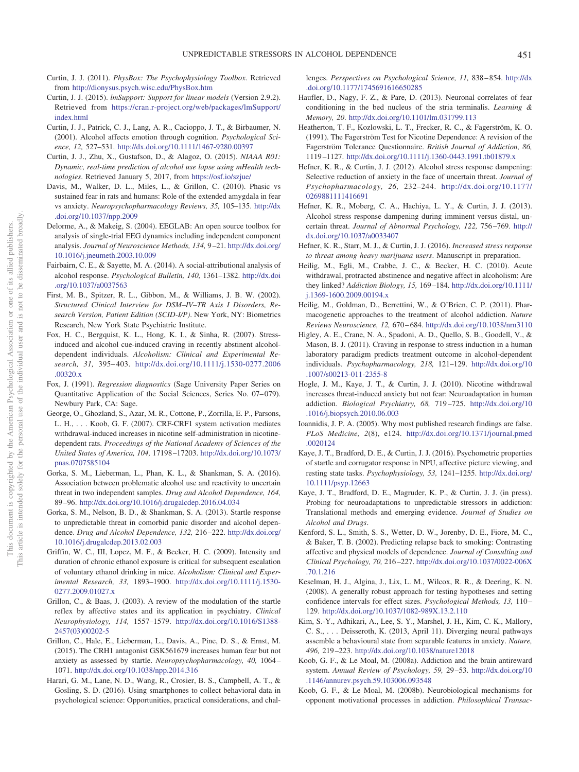- <span id="page-10-15"></span>Curtin, J. J. (2011). *PhysBox: The Psychophysiology Toolbox*. Retrieved from <http://dionysus.psych.wisc.edu/PhysBox.htm>
- <span id="page-10-16"></span>Curtin, J. J. (2015). *lmSupport: Support for linear models* (Version 2.9.2). Retrieved from [https://cran.r-project.org/web/packages/lmSupport/](https://cran.r-project.org/web/packages/lmSupport/index.html) [index.html](https://cran.r-project.org/web/packages/lmSupport/index.html)
- <span id="page-10-31"></span>Curtin, J. J., Patrick, C. J., Lang, A. R., Cacioppo, J. T., & Birbaumer, N. (2001). Alcohol affects emotion through cognition. *Psychological Science, 12,* 527–531. <http://dx.doi.org/10.1111/1467-9280.00397>
- <span id="page-10-32"></span>Curtin, J. J., Zhu, X., Gustafson, D., & Alagoz, O. (2015). *NIAAA R01: Dynamic, real-time prediction of alcohol use lapse using mHealth technologies*. Retrieved January 5, 2017, from <https://osf.io/szjue/>
- <span id="page-10-6"></span>Davis, M., Walker, D. L., Miles, L., & Grillon, C. (2010). Phasic vs sustained fear in rats and humans: Role of the extended amygdala in fear vs anxiety. *Neuropsychopharmacology Reviews, 35,* 105–135. [http://dx](http://dx.doi.org/10.1037/npp.2009) [.doi.org/10.1037/npp.2009](http://dx.doi.org/10.1037/npp.2009)
- <span id="page-10-14"></span>Delorme, A., & Makeig, S. (2004). EEGLAB: An open source toolbox for analysis of single-trial EEG dynamics including independent component analysis. *Journal of Neuroscience Methods, 134,* 9 –21. [http://dx.doi.org/](http://dx.doi.org/10.1016/j.jneumeth.2003.10.009) [10.1016/j.jneumeth.2003.10.009](http://dx.doi.org/10.1016/j.jneumeth.2003.10.009)
- <span id="page-10-30"></span>Fairbairn, C. E., & Sayette, M. A. (2014). A social-attributional analysis of alcohol response. *Psychological Bulletin, 140,* 1361–1382. [http://dx.doi](http://dx.doi.org/10.1037/a0037563) [.org/10.1037/a0037563](http://dx.doi.org/10.1037/a0037563)
- <span id="page-10-12"></span>First, M. B., Spitzer, R. L., Gibbon, M., & Williams, J. B. W. (2002). *Structured Clinical Interview for DSM–IV–TR Axis I Disorders, Research Version, Patient Edition (SCID-I/P)*. New York, NY: Biometrics Research, New York State Psychiatric Institute.
- <span id="page-10-3"></span>Fox, H. C., Bergquist, K. L., Hong, K. I., & Sinha, R. (2007). Stressinduced and alcohol cue-induced craving in recently abstinent alcoholdependent individuals. *Alcoholism: Clinical and Experimental Research, 31,* 395– 403. [http://dx.doi.org/10.1111/j.1530-0277.2006](http://dx.doi.org/10.1111/j.1530-0277.2006.00320.x) [.00320.x](http://dx.doi.org/10.1111/j.1530-0277.2006.00320.x)
- <span id="page-10-19"></span>Fox, J. (1991). *Regression diagnostics* (Sage University Paper Series on Quantitative Application of the Social Sciences, Series No. 07–079). Newbury Park, CA: Sage.
- <span id="page-10-2"></span>George, O., Ghozland, S., Azar, M. R., Cottone, P., Zorrilla, E. P., Parsons, L. H., . . . Koob, G. F. (2007). CRF-CRF1 system activation mediates withdrawal-induced increases in nicotine self-administration in nicotinedependent rats. *Proceedings of the National Academy of Sciences of the United States of America, 104,* 17198 –17203. [http://dx.doi.org/10.1073/](http://dx.doi.org/10.1073/pnas.0707585104) [pnas.0707585104](http://dx.doi.org/10.1073/pnas.0707585104)
- <span id="page-10-23"></span>Gorka, S. M., Lieberman, L., Phan, K. L., & Shankman, S. A. (2016). Association between problematic alcohol use and reactivity to uncertain threat in two independent samples. *Drug and Alcohol Dependence, 164,* 89 –96. <http://dx.doi.org/10.1016/j.drugalcdep.2016.04.034>
- <span id="page-10-24"></span>Gorka, S. M., Nelson, B. D., & Shankman, S. A. (2013). Startle response to unpredictable threat in comorbid panic disorder and alcohol dependence. *Drug and Alcohol Dependence, 132,* 216 –222. [http://dx.doi.org/](http://dx.doi.org/10.1016/j.drugalcdep.2013.02.003) [10.1016/j.drugalcdep.2013.02.003](http://dx.doi.org/10.1016/j.drugalcdep.2013.02.003)
- <span id="page-10-29"></span>Griffin, W. C., III, Lopez, M. F., & Becker, H. C. (2009). Intensity and duration of chronic ethanol exposure is critical for subsequent escalation of voluntary ethanol drinking in mice. *Alcoholism: Clinical and Experimental Research, 33,* 1893–1900. [http://dx.doi.org/10.1111/j.1530-](http://dx.doi.org/10.1111/j.1530-0277.2009.01027.x) [0277.2009.01027.x](http://dx.doi.org/10.1111/j.1530-0277.2009.01027.x)
- <span id="page-10-7"></span>Grillon, C., & Baas, J. (2003). A review of the modulation of the startle reflex by affective states and its application in psychiatry. *Clinical Neurophysiology, 114,* 1557–1579. [http://dx.doi.org/10.1016/S1388-](http://dx.doi.org/10.1016/S1388-2457%2803%2900202-5) [2457\(03\)00202-5](http://dx.doi.org/10.1016/S1388-2457%2803%2900202-5)
- <span id="page-10-25"></span>Grillon, C., Hale, E., Lieberman, L., Davis, A., Pine, D. S., & Ernst, M. (2015). The CRH1 antagonist GSK561679 increases human fear but not anxiety as assessed by startle. *Neuropsychopharmacology, 40,* 1064 – 1071. <http://dx.doi.org/10.1038/npp.2014.316>
- <span id="page-10-33"></span>Harari, G. M., Lane, N. D., Wang, R., Crosier, B. S., Campbell, A. T., & Gosling, S. D. (2016). Using smartphones to collect behavioral data in psychological science: Opportunities, practical considerations, and chal-

lenges. *Perspectives on Psychological Science, 11,* 838 – 854. [http://dx](http://dx.doi.org/10.1177/1745691616650285) [.doi.org/10.1177/1745691616650285](http://dx.doi.org/10.1177/1745691616650285)

- <span id="page-10-26"></span>Haufler, D., Nagy, F. Z., & Pare, D. (2013). Neuronal correlates of fear conditioning in the bed nucleus of the stria terminalis. *Learning & Memory, 20*. <http://dx.doi.org/10.1101/lm.031799.113>
- <span id="page-10-17"></span>Heatherton, T. F., Kozlowski, L. T., Frecker, R. C., & Fagerström, K. O. (1991). The Fagerström Test for Nicotine Dependence: A revision of the Fagerström Tolerance Questionnaire. *British Journal of Addiction, 86,* 1119 –1127. <http://dx.doi.org/10.1111/j.1360-0443.1991.tb01879.x>
- <span id="page-10-8"></span>Hefner, K. R., & Curtin, J. J. (2012). Alcohol stress response dampening: Selective reduction of anxiety in the face of uncertain threat. *Journal of Psychopharmacology, 26,* 232–244. [http://dx.doi.org/10.1177/](http://dx.doi.org/10.1177/0269881111416691) [0269881111416691](http://dx.doi.org/10.1177/0269881111416691)
- <span id="page-10-9"></span>Hefner, K. R., Moberg, C. A., Hachiya, L. Y., & Curtin, J. J. (2013). Alcohol stress response dampening during imminent versus distal, uncertain threat. *Journal of Abnormal Psychology, 122,* 756 –769. [http://](http://dx.doi.org/10.1037/a0033407) [dx.doi.org/10.1037/a0033407](http://dx.doi.org/10.1037/a0033407)
- <span id="page-10-22"></span>Hefner, K. R., Starr, M. J., & Curtin, J. J. (2016). *Increased stress response to threat among heavy marijuana users*. Manuscript in preparation.
- <span id="page-10-28"></span>Heilig, M., Egli, M., Crabbe, J. C., & Becker, H. C. (2010). Acute withdrawal, protracted abstinence and negative affect in alcoholism: Are they linked? *Addiction Biology, 15,* 169 –184. [http://dx.doi.org/10.1111/](http://dx.doi.org/10.1111/j.1369-1600.2009.00194.x) [j.1369-1600.2009.00194.x](http://dx.doi.org/10.1111/j.1369-1600.2009.00194.x)
- <span id="page-10-18"></span>Heilig, M., Goldman, D., Berrettini, W., & O'Brien, C. P. (2011). Pharmacogenetic approaches to the treatment of alcohol addiction. *Nature Reviews Neuroscience, 12,* 670 – 684. <http://dx.doi.org/10.1038/nrn3110>
- <span id="page-10-5"></span>Higley, A. E., Crane, N. A., Spadoni, A. D., Quello, S. B., Goodell, V., & Mason, B. J. (2011). Craving in response to stress induction in a human laboratory paradigm predicts treatment outcome in alcohol-dependent individuals. *Psychopharmacology, 218,* 121–129. [http://dx.doi.org/10](http://dx.doi.org/10.1007/s00213-011-2355-8) [.1007/s00213-011-2355-8](http://dx.doi.org/10.1007/s00213-011-2355-8)
- <span id="page-10-10"></span>Hogle, J. M., Kaye, J. T., & Curtin, J. J. (2010). Nicotine withdrawal increases threat-induced anxiety but not fear: Neuroadaptation in human addiction. *Biological Psychiatry, 68,* 719 –725. [http://dx.doi.org/10](http://dx.doi.org/10.1016/j.biopsych.2010.06.003) [.1016/j.biopsych.2010.06.003](http://dx.doi.org/10.1016/j.biopsych.2010.06.003)
- <span id="page-10-11"></span>Ioannidis, J. P. A. (2005). Why most published research findings are false. *PLoS Medicine, 2*(8), e124. [http://dx.doi.org/10.1371/journal.pmed](http://dx.doi.org/10.1371/journal.pmed.0020124) [.0020124](http://dx.doi.org/10.1371/journal.pmed.0020124)
- <span id="page-10-13"></span>Kaye, J. T., Bradford, D. E., & Curtin, J. J. (2016). Psychometric properties of startle and corrugator response in NPU, affective picture viewing, and resting state tasks. *Psychophysiology, 53,* 1241–1255. [http://dx.doi.org/](http://dx.doi.org/10.1111/psyp.12663) [10.1111/psyp.12663](http://dx.doi.org/10.1111/psyp.12663)
- <span id="page-10-0"></span>Kaye, J. T., Bradford, D. E., Magruder, K. P., & Curtin, J. J. (in press). Probing for neuroadaptations to unpredictable stressors in addiction: Translational methods and emerging evidence. *Journal of Studies on Alcohol and Drugs*.
- <span id="page-10-4"></span>Kenford, S. L., Smith, S. S., Wetter, D. W., Jorenby, D. E., Fiore, M. C., & Baker, T. B. (2002). Predicting relapse back to smoking: Contrasting affective and physical models of dependence. *Journal of Consulting and Clinical Psychology, 70,* 216 –227. [http://dx.doi.org/10.1037/0022-006X](http://dx.doi.org/10.1037/0022-006X.70.1.216) [.70.1.216](http://dx.doi.org/10.1037/0022-006X.70.1.216)
- <span id="page-10-20"></span>Keselman, H. J., Algina, J., Lix, L. M., Wilcox, R. R., & Deering, K. N. (2008). A generally robust approach for testing hypotheses and setting confidence intervals for effect sizes. *Psychological Methods, 13,* 110 – 129. <http://dx.doi.org/10.1037/1082-989X.13.2.110>
- <span id="page-10-27"></span>Kim, S.-Y., Adhikari, A., Lee, S. Y., Marshel, J. H., Kim, C. K., Mallory, C. S., . . . Deisseroth, K. (2013, April 11). Diverging neural pathways assemble a behavioural state from separable features in anxiety. *Nature, 496,* 219 –223. <http://dx.doi.org/10.1038/nature12018>
- <span id="page-10-1"></span>Koob, G. F., & Le Moal, M. (2008a). Addiction and the brain antireward system. *Annual Review of Psychology, 59,* 29 –53. [http://dx.doi.org/10](http://dx.doi.org/10.1146/annurev.psych.59.103006.093548) [.1146/annurev.psych.59.103006.093548](http://dx.doi.org/10.1146/annurev.psych.59.103006.093548)
- <span id="page-10-21"></span>Koob, G. F., & Le Moal, M. (2008b). Neurobiological mechanisms for opponent motivational processes in addiction. *Philosophical Transac-*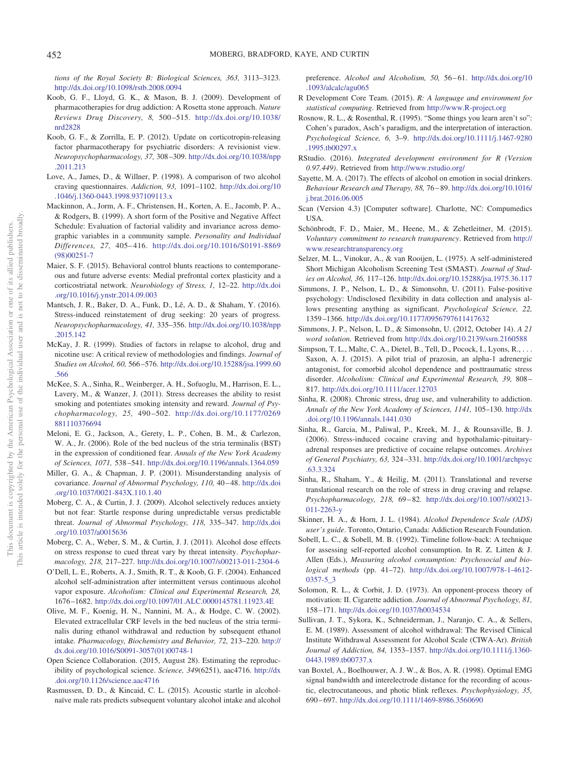*tions of the Royal Society B: Biological Sciences, 363,* 3113–3123. <http://dx.doi.org/10.1098/rstb.2008.0094>

- <span id="page-11-25"></span>Koob, G. F., Lloyd, G. K., & Mason, B. J. (2009). Development of pharmacotherapies for drug addiction: A Rosetta stone approach. *Nature Reviews Drug Discovery, 8,* 500 –515. [http://dx.doi.org/10.1038/](http://dx.doi.org/10.1038/nrd2828) [nrd2828](http://dx.doi.org/10.1038/nrd2828)
- <span id="page-11-20"></span>Koob, G. F., & Zorrilla, E. P. (2012). Update on corticotropin-releasing factor pharmacotherapy for psychiatric disorders: A revisionist view. *Neuropsychopharmacology, 37,* 308 –309. [http://dx.doi.org/10.1038/npp](http://dx.doi.org/10.1038/npp.2011.213) [.2011.213](http://dx.doi.org/10.1038/npp.2011.213)
- <span id="page-11-11"></span>Love, A., James, D., & Willner, P. (1998). A comparison of two alcohol craving questionnaires. *Addiction, 93,* 1091–1102. [http://dx.doi.org/10](http://dx.doi.org/10.1046/j.1360-0443.1998.937109113.x) [.1046/j.1360-0443.1998.937109113.x](http://dx.doi.org/10.1046/j.1360-0443.1998.937109113.x)
- <span id="page-11-19"></span>Mackinnon, A., Jorm, A. F., Christensen, H., Korten, A. E., Jacomb, P. A., & Rodgers, B. (1999). A short form of the Positive and Negative Affect Schedule: Evaluation of factorial validity and invariance across demographic variables in a community sample. *Personality and Individual Differences, 27,* 405– 416. [http://dx.doi.org/10.1016/S0191-8869](http://dx.doi.org/10.1016/S0191-8869%2898%2900251-7) [\(98\)00251-7](http://dx.doi.org/10.1016/S0191-8869%2898%2900251-7)
- <span id="page-11-33"></span>Maier, S. F. (2015). Behavioral control blunts reactions to contemporaneous and future adverse events: Medial prefrontal cortex plasticity and a corticostriatal network. *Neurobiology of Stress, 1,* 12–22. [http://dx.doi](http://dx.doi.org/10.1016/j.ynstr.2014.09.003) [.org/10.1016/j.ynstr.2014.09.003](http://dx.doi.org/10.1016/j.ynstr.2014.09.003)
- <span id="page-11-1"></span>Mantsch, J. R., Baker, D. A., Funk, D., Lê, A. D., & Shaham, Y. (2016). Stress-induced reinstatement of drug seeking: 20 years of progress. *Neuropsychopharmacology, 41,* 335–356. [http://dx.doi.org/10.1038/npp](http://dx.doi.org/10.1038/npp.2015.142) [.2015.142](http://dx.doi.org/10.1038/npp.2015.142)
- <span id="page-11-29"></span>McKay, J. R. (1999). Studies of factors in relapse to alcohol, drug and nicotine use: A critical review of methodologies and findings. *Journal of Studies on Alcohol, 60,* 566 –576. [http://dx.doi.org/10.15288/jsa.1999.60](http://dx.doi.org/10.15288/jsa.1999.60.566) [.566](http://dx.doi.org/10.15288/jsa.1999.60.566)
- <span id="page-11-2"></span>McKee, S. A., Sinha, R., Weinberger, A. H., Sofuoglu, M., Harrison, E. L., Lavery, M., & Wanzer, J. (2011). Stress decreases the ability to resist smoking and potentiates smoking intensity and reward. *Journal of Psychopharmacology, 25,* 490 –502. [http://dx.doi.org/10.1177/0269](http://dx.doi.org/10.1177/0269881110376694) [881110376694](http://dx.doi.org/10.1177/0269881110376694)
- <span id="page-11-28"></span>Meloni, E. G., Jackson, A., Gerety, L. P., Cohen, B. M., & Carlezon, W. A., Jr. (2006). Role of the bed nucleus of the stria terminalis (BST) in the expression of conditioned fear. *Annals of the New York Academy of Sciences, 1071,* 538 –541. <http://dx.doi.org/10.1196/annals.1364.059>
- <span id="page-11-21"></span>Miller, G. A., & Chapman, J. P. (2001). Misunderstanding analysis of covariance. Journal of Abnormal Psychology, 110, 40-48. [http://dx.doi](http://dx.doi.org/10.1037/0021-843X.110.1.40) [.org/10.1037/0021-843X.110.1.40](http://dx.doi.org/10.1037/0021-843X.110.1.40)
- <span id="page-11-5"></span>Moberg, C. A., & Curtin, J. J. (2009). Alcohol selectively reduces anxiety but not fear: Startle response during unpredictable versus predictable threat. *Journal of Abnormal Psychology, 118,* 335–347. [http://dx.doi](http://dx.doi.org/10.1037/a0015636) [.org/10.1037/a0015636](http://dx.doi.org/10.1037/a0015636)
- <span id="page-11-32"></span>Moberg, C. A., Weber, S. M., & Curtin, J. J. (2011). Alcohol dose effects on stress response to cued threat vary by threat intensity. *Psychopharmacology, 218,* 217–227. <http://dx.doi.org/10.1007/s00213-011-2304-6>
- <span id="page-11-30"></span>O'Dell, L. E., Roberts, A. J., Smith, R. T., & Koob, G. F. (2004). Enhanced alcohol self-administration after intermittent versus continuous alcohol vapor exposure. *Alcoholism: Clinical and Experimental Research, 28,* 1676 –1682. <http://dx.doi.org/10.1097/01.ALC.0000145781.11923.4E>
- <span id="page-11-0"></span>Olive, M. F., Koenig, H. N., Nannini, M. A., & Hodge, C. W. (2002). Elevated extracellular CRF levels in the bed nucleus of the stria terminalis during ethanol withdrawal and reduction by subsequent ethanol intake. *Pharmacology, Biochemistry and Behavior, 72,* 213–220. [http://](http://dx.doi.org/10.1016/S0091-3057%2801%2900748-1) [dx.doi.org/10.1016/S0091-3057\(01\)00748-1](http://dx.doi.org/10.1016/S0091-3057%2801%2900748-1)
- <span id="page-11-8"></span>Open Science Collaboration. (2015, August 28). Estimating the reproducibility of psychological science. *Science, 349*(6251), aac4716. [http://dx](http://dx.doi.org/10.1126/science.aac4716) [.doi.org/10.1126/science.aac4716](http://dx.doi.org/10.1126/science.aac4716)
- <span id="page-11-27"></span>Rasmussen, D. D., & Kincaid, C. L. (2015). Acoustic startle in alcoholnaïve male rats predicts subsequent voluntary alcohol intake and alcohol

preference. *Alcohol and Alcoholism, 50, 56-61.* [http://dx.doi.org/10](http://dx.doi.org/10.1093/alcalc/agu065) [.1093/alcalc/agu065](http://dx.doi.org/10.1093/alcalc/agu065)

- <span id="page-11-14"></span>R Development Core Team. (2015). *R: A language and environment for statistical computing*. Retrieved from <http://www.R-project.org>
- <span id="page-11-22"></span>Rosnow, R. L., & Rosenthal, R. (1995). "Some things you learn aren't so": Cohen's paradox, Asch's paradigm, and the interpretation of interaction. *Psychological Science, 6,* 3–9. [http://dx.doi.org/10.1111/j.1467-9280](http://dx.doi.org/10.1111/j.1467-9280.1995.tb00297.x) [.1995.tb00297.x](http://dx.doi.org/10.1111/j.1467-9280.1995.tb00297.x)
- <span id="page-11-15"></span>RStudio. (2016). *Integrated development environment for R (Version 0.97.449)*. Retrieved from <http://www.rstudio.org/>
- <span id="page-11-31"></span>Sayette, M. A. (2017). The effects of alcohol on emotion in social drinkers. *Behaviour Research and Therapy, 88,* 76 – 89. [http://dx.doi.org/10.1016/](http://dx.doi.org/10.1016/j.brat.2016.06.005) [j.brat.2016.06.005](http://dx.doi.org/10.1016/j.brat.2016.06.005)
- <span id="page-11-13"></span>Scan (Version 4.3) [Computer software]. Charlotte, NC: Compumedics USA.
- <span id="page-11-7"></span>Schönbrodt, F. D., Maier, M., Heene, M., & Zehetleitner, M. (2015). *Voluntary commitment to research transparency*. Retrieved from [http://](http://www.researchtransparency.org) [www.researchtransparency.org](http://www.researchtransparency.org)
- <span id="page-11-16"></span>Selzer, M. L., Vinokur, A., & van Rooijen, L. (1975). A self-administered Short Michigan Alcoholism Screening Test (SMAST). *Journal of Studies on Alcohol, 36,* 117–126. <http://dx.doi.org/10.15288/jsa.1975.36.117>
- <span id="page-11-9"></span>Simmons, J. P., Nelson, L. D., & Simonsohn, U. (2011). False-positive psychology: Undisclosed flexibility in data collection and analysis allows presenting anything as significant. *Psychological Science, 22,* 1359 –1366. <http://dx.doi.org/10.1177/0956797611417632>
- <span id="page-11-6"></span>Simmons, J. P., Nelson, L. D., & Simonsohn, U. (2012, October 14). *A 21 word solution*. Retrieved from <http://dx.doi.org/10.2139/ssrn.2160588>
- <span id="page-11-23"></span>Simpson, T. L., Malte, C. A., Dietel, B., Tell, D., Pocock, I., Lyons, R., ... Saxon, A. J. (2015). A pilot trial of prazosin, an alpha-1 adrenergic antagonist, for comorbid alcohol dependence and posttraumatic stress disorder. *Alcoholism: Clinical and Experimental Research, 39,* 808 – 817. <http://dx.doi.org/10.1111/acer.12703>
- <span id="page-11-4"></span>Sinha, R. (2008). Chronic stress, drug use, and vulnerability to addiction. *Annals of the New York Academy of Sciences, 1141,* 105–130. [http://dx](http://dx.doi.org/10.1196/annals.1441.030) [.doi.org/10.1196/annals.1441.030](http://dx.doi.org/10.1196/annals.1441.030)
- <span id="page-11-3"></span>Sinha, R., Garcia, M., Paliwal, P., Kreek, M. J., & Rounsaville, B. J. (2006). Stress-induced cocaine craving and hypothalamic-pituitaryadrenal responses are predictive of cocaine relapse outcomes. *Archives of General Psychiatry, 63,* 324 –331. [http://dx.doi.org/10.1001/archpsyc](http://dx.doi.org/10.1001/archpsyc.63.3.324) [.63.3.324](http://dx.doi.org/10.1001/archpsyc.63.3.324)
- <span id="page-11-26"></span>Sinha, R., Shaham, Y., & Heilig, M. (2011). Translational and reverse translational research on the role of stress in drug craving and relapse. *Psychopharmacology, 218,* 69 – 82. [http://dx.doi.org/10.1007/s00213-](http://dx.doi.org/10.1007/s00213-011-2263-y) [011-2263-y](http://dx.doi.org/10.1007/s00213-011-2263-y)
- <span id="page-11-17"></span>Skinner, H. A., & Horn, J. L. (1984). *Alcohol Dependence Scale (ADS) user's guide*. Toronto, Ontario, Canada: Addiction Research Foundation.
- <span id="page-11-10"></span>Sobell, L. C., & Sobell, M. B. (1992). Timeline follow-back: A technique for assessing self-reported alcohol consumption. In R. Z. Litten & J. Allen (Eds.), *Measuring alcohol consumption: Psychosocial and biological methods* (pp. 41–72). [http://dx.doi.org/10.1007/978-1-4612-](http://dx.doi.org/10.1007/978-1-4612-0357-5_3) [0357-5\\_3](http://dx.doi.org/10.1007/978-1-4612-0357-5_3)
- <span id="page-11-24"></span>Solomon, R. L., & Corbit, J. D. (1973). An opponent-process theory of motivation: II. Cigarette addiction. *Journal of Abnormal Psychology, 81,* 158 –171. <http://dx.doi.org/10.1037/h0034534>
- <span id="page-11-18"></span>Sullivan, J. T., Sykora, K., Schneiderman, J., Naranjo, C. A., & Sellers, E. M. (1989). Assessment of alcohol withdrawal: The Revised Clinical Institute Withdrawal Assessment for Alcohol Scale (CIWA-Ar). *British Journal of Addiction, 84,* 1353–1357. [http://dx.doi.org/10.1111/j.1360-](http://dx.doi.org/10.1111/j.1360-0443.1989.tb00737.x) [0443.1989.tb00737.x](http://dx.doi.org/10.1111/j.1360-0443.1989.tb00737.x)
- <span id="page-11-12"></span>van Boxtel, A., Boelhouwer, A. J. W., & Bos, A. R. (1998). Optimal EMG signal bandwidth and interelectrode distance for the recording of acoustic, electrocutaneous, and photic blink reflexes. *Psychophysiology, 35,* 690 – 697. <http://dx.doi.org/10.1111/1469-8986.3560690>